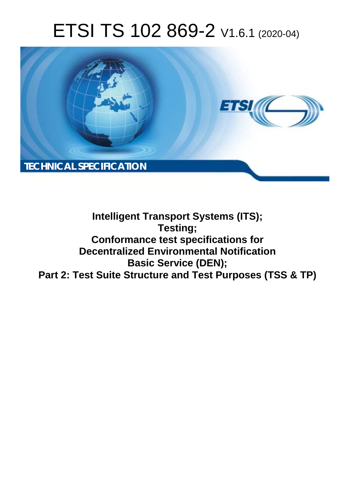# ETSI TS 102 869-2 V1.6.1 (2020-04)



### **Intelligent Transport Systems (ITS); Testing; Conformance test specifications for Decentralized Environmental Notification Basic Service (DEN); Part 2: Test Suite Structure and Test Purposes (TSS & TP)**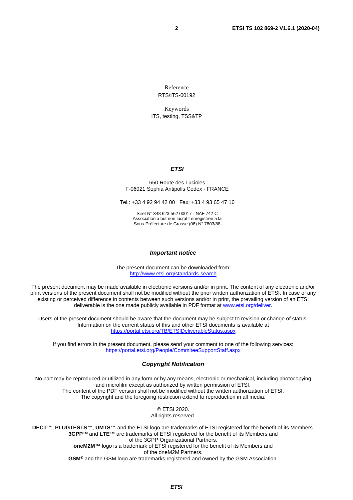Reference RTS/ITS-00192

Keywords

ITS, testing, TSS&TP

#### *ETSI*

#### 650 Route des Lucioles F-06921 Sophia Antipolis Cedex - FRANCE

Tel.: +33 4 92 94 42 00 Fax: +33 4 93 65 47 16

Siret N° 348 623 562 00017 - NAF 742 C Association à but non lucratif enregistrée à la Sous-Préfecture de Grasse (06) N° 7803/88

#### *Important notice*

The present document can be downloaded from: <http://www.etsi.org/standards-search>

The present document may be made available in electronic versions and/or in print. The content of any electronic and/or print versions of the present document shall not be modified without the prior written authorization of ETSI. In case of any existing or perceived difference in contents between such versions and/or in print, the prevailing version of an ETSI deliverable is the one made publicly available in PDF format at [www.etsi.org/deliver](http://www.etsi.org/deliver).

Users of the present document should be aware that the document may be subject to revision or change of status. Information on the current status of this and other ETSI documents is available at <https://portal.etsi.org/TB/ETSIDeliverableStatus.aspx>

If you find errors in the present document, please send your comment to one of the following services: <https://portal.etsi.org/People/CommiteeSupportStaff.aspx>

#### *Copyright Notification*

No part may be reproduced or utilized in any form or by any means, electronic or mechanical, including photocopying and microfilm except as authorized by written permission of ETSI. The content of the PDF version shall not be modified without the written authorization of ETSI. The copyright and the foregoing restriction extend to reproduction in all media.

> © ETSI 2020. All rights reserved.

**DECT™**, **PLUGTESTS™**, **UMTS™** and the ETSI logo are trademarks of ETSI registered for the benefit of its Members. **3GPP™** and **LTE™** are trademarks of ETSI registered for the benefit of its Members and of the 3GPP Organizational Partners. **oneM2M™** logo is a trademark of ETSI registered for the benefit of its Members and of the oneM2M Partners. **GSM®** and the GSM logo are trademarks registered and owned by the GSM Association.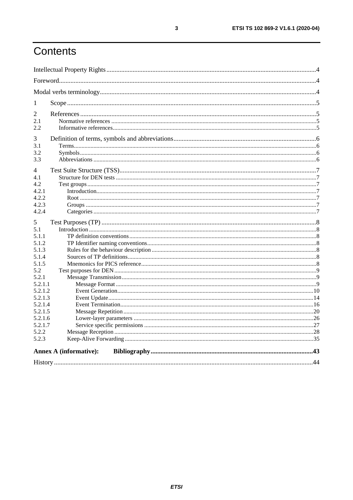# Contents

| 1                             |  |  |
|-------------------------------|--|--|
| 2                             |  |  |
| 2.1                           |  |  |
| 2.2                           |  |  |
| 3                             |  |  |
| 3.1                           |  |  |
| 3.2                           |  |  |
| 3.3                           |  |  |
| 4                             |  |  |
| 4.1                           |  |  |
| 4.2                           |  |  |
| 4.2.1                         |  |  |
| 4.2.2                         |  |  |
| 4.2.3                         |  |  |
| 4.2.4                         |  |  |
| 5                             |  |  |
| 5.1                           |  |  |
| 5.1.1                         |  |  |
| 5.1.2                         |  |  |
| 5.1.3                         |  |  |
| 5.1.4                         |  |  |
| 5.1.5                         |  |  |
| 5.2                           |  |  |
| 5.2.1                         |  |  |
| 5.2.1.1                       |  |  |
| 5.2.1.2                       |  |  |
| 5.2.1.3                       |  |  |
| 5.2.1.4                       |  |  |
| 5.2.1.5                       |  |  |
| 5.2.1.6                       |  |  |
| 5.2.1.7                       |  |  |
| 5.2.2                         |  |  |
| 5.2.3                         |  |  |
| <b>Annex A (informative):</b> |  |  |
|                               |  |  |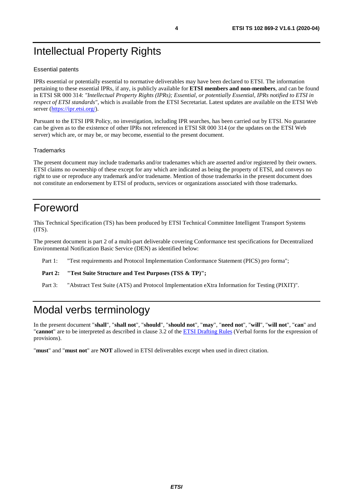# <span id="page-3-0"></span>Intellectual Property Rights

#### Essential patents

IPRs essential or potentially essential to normative deliverables may have been declared to ETSI. The information pertaining to these essential IPRs, if any, is publicly available for **ETSI members and non-members**, and can be found in ETSI SR 000 314: *"Intellectual Property Rights (IPRs); Essential, or potentially Essential, IPRs notified to ETSI in respect of ETSI standards"*, which is available from the ETSI Secretariat. Latest updates are available on the ETSI Web server ([https://ipr.etsi.org/\)](https://ipr.etsi.org/).

Pursuant to the ETSI IPR Policy, no investigation, including IPR searches, has been carried out by ETSI. No guarantee can be given as to the existence of other IPRs not referenced in ETSI SR 000 314 (or the updates on the ETSI Web server) which are, or may be, or may become, essential to the present document.

#### **Trademarks**

The present document may include trademarks and/or tradenames which are asserted and/or registered by their owners. ETSI claims no ownership of these except for any which are indicated as being the property of ETSI, and conveys no right to use or reproduce any trademark and/or tradename. Mention of those trademarks in the present document does not constitute an endorsement by ETSI of products, services or organizations associated with those trademarks.

### Foreword

This Technical Specification (TS) has been produced by ETSI Technical Committee Intelligent Transport Systems (ITS).

The present document is part 2 of a multi-part deliverable covering Conformance test specifications for Decentralized Environmental Notification Basic Service (DEN) as identified below:

- Part 1: "Test requirements and Protocol Implementation Conformance Statement (PICS) pro forma";
- Part 2: "Test Suite Structure and Test Purposes (TSS & TP)";

Part 3: "Abstract Test Suite (ATS) and Protocol Implementation eXtra Information for Testing (PIXIT)".

# Modal verbs terminology

In the present document "**shall**", "**shall not**", "**should**", "**should not**", "**may**", "**need not**", "**will**", "**will not**", "**can**" and "**cannot**" are to be interpreted as described in clause 3.2 of the [ETSI Drafting Rules](https://portal.etsi.org/Services/editHelp!/Howtostart/ETSIDraftingRules.aspx) (Verbal forms for the expression of provisions).

"**must**" and "**must not**" are **NOT** allowed in ETSI deliverables except when used in direct citation.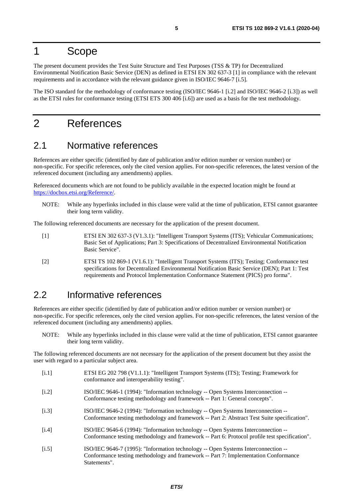### <span id="page-4-0"></span>1 Scope

The present document provides the Test Suite Structure and Test Purposes (TSS & TP) for Decentralized Environmental Notification Basic Service (DEN) as defined in ETSI EN 302 637-3 [1] in compliance with the relevant requirements and in accordance with the relevant guidance given in ISO/IEC 9646-7 [i.5].

The ISO standard for the methodology of conformance testing (ISO/IEC 9646-1 [i.2] and ISO/IEC 9646-2 [i.3]) as well as the ETSI rules for conformance testing (ETSI ETS 300 406 [[i.6](#page-5-0)]) are used as a basis for the test methodology.

### 2 References

#### 2.1 Normative references

References are either specific (identified by date of publication and/or edition number or version number) or non-specific. For specific references, only the cited version applies. For non-specific references, the latest version of the referenced document (including any amendments) applies.

Referenced documents which are not found to be publicly available in the expected location might be found at <https://docbox.etsi.org/Reference/>.

NOTE: While any hyperlinks included in this clause were valid at the time of publication, ETSI cannot guarantee their long term validity.

The following referenced documents are necessary for the application of the present document.

- [1] ETSI EN 302 637-3 (V1.3.1): "Intelligent Transport Systems (ITS); Vehicular Communications; Basic Set of Applications; Part 3: Specifications of Decentralized Environmental Notification Basic Service".
- [2] ETSI TS 102 869-1 (V1.6.1): "Intelligent Transport Systems (ITS); Testing; Conformance test specifications for Decentralized Environmental Notification Basic Service (DEN); Part 1: Test requirements and Protocol Implementation Conformance Statement (PICS) pro forma".

### 2.2 Informative references

References are either specific (identified by date of publication and/or edition number or version number) or non-specific. For specific references, only the cited version applies. For non-specific references, the latest version of the referenced document (including any amendments) applies.

NOTE: While any hyperlinks included in this clause were valid at the time of publication, ETSI cannot guarantee their long term validity.

The following referenced documents are not necessary for the application of the present document but they assist the user with regard to a particular subject area.

- [i.1] ETSI EG 202 798 (V1.1.1): "Intelligent Transport Systems (ITS); Testing; Framework for conformance and interoperability testing".
- [i.2] ISO/IEC 9646-1 (1994): "Information technology -- Open Systems Interconnection -- Conformance testing methodology and framework -- Part 1: General concepts".
- [i.3] ISO/IEC 9646-2 (1994): "Information technology -- Open Systems Interconnection -- Conformance testing methodology and framework -- Part 2: Abstract Test Suite specification".
- [i.4] ISO/IEC 9646-6 (1994): "Information technology -- Open Systems Interconnection -- Conformance testing methodology and framework -- Part 6: Protocol profile test specification".
- [i.5] ISO/IEC 9646-7 (1995): "Information technology -- Open Systems Interconnection -- Conformance testing methodology and framework -- Part 7: Implementation Conformance Statements".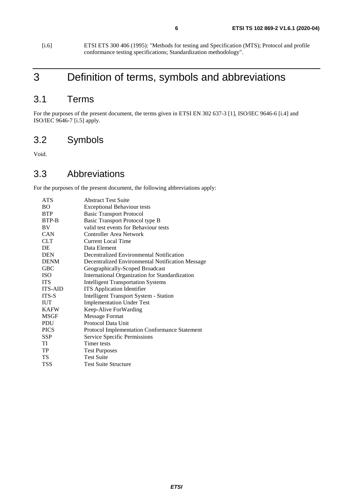<span id="page-5-0"></span>[i.6] ETSI ETS 300 406 (1995): "Methods for testing and Specification (MTS); Protocol and profile conformance testing specifications; Standardization methodology".

# 3 Definition of terms, symbols and abbreviations

### 3.1 Terms

For the purposes of the present document, the terms given in ETSI EN 302 637-3 [\[1\]](#page-4-0), ISO/IEC 9646-6 [[i.4\]](#page-4-0) and ISO/IEC 9646-7 [[i.5](#page-4-0)] apply.

### 3.2 Symbols

Void.

#### 3.3 Abbreviations

For the purposes of the present document, the following abbreviations apply:

| <b>BO</b><br><b>Exceptional Behaviour tests</b><br><b>BTP</b><br><b>Basic Transport Protocol</b><br><b>BTP-B</b><br>Basic Transport Protocol type B<br>valid test events for Behaviour tests<br><b>BV</b><br><b>CAN</b><br>Controller Area Network |  |
|----------------------------------------------------------------------------------------------------------------------------------------------------------------------------------------------------------------------------------------------------|--|
|                                                                                                                                                                                                                                                    |  |
|                                                                                                                                                                                                                                                    |  |
|                                                                                                                                                                                                                                                    |  |
|                                                                                                                                                                                                                                                    |  |
|                                                                                                                                                                                                                                                    |  |
| <b>CLT</b><br>Current Local Time                                                                                                                                                                                                                   |  |
| DE<br>Data Element                                                                                                                                                                                                                                 |  |
| <b>DEN</b><br>Decentralized Environmental Notification                                                                                                                                                                                             |  |
| <b>DENM</b><br>Decentralized Environmental Notification Message                                                                                                                                                                                    |  |
| <b>GBC</b><br>Geographically-Scoped Broadcast                                                                                                                                                                                                      |  |
| <b>ISO</b><br>International Organization for Standardization                                                                                                                                                                                       |  |
| <b>ITS</b><br><b>Intelligent Transportation Systems</b>                                                                                                                                                                                            |  |
| <b>ITS</b> Application Identifier<br><b>ITS-AID</b>                                                                                                                                                                                                |  |
| <b>Intelligent Transport System - Station</b><br><b>ITS-S</b>                                                                                                                                                                                      |  |
| <b>IUT</b><br><b>Implementation Under Test</b>                                                                                                                                                                                                     |  |
| <b>KAFW</b><br>Keep-Alive ForWarding                                                                                                                                                                                                               |  |
| <b>MSGF</b><br>Message Format                                                                                                                                                                                                                      |  |
| Protocol Data Unit<br><b>PDU</b>                                                                                                                                                                                                                   |  |
| <b>PICS</b><br><b>Protocol Implementation Conformance Statement</b>                                                                                                                                                                                |  |
| <b>SSP</b><br>Service Specific Permissions                                                                                                                                                                                                         |  |
| TI<br>Timer tests                                                                                                                                                                                                                                  |  |
| TP<br><b>Test Purposes</b>                                                                                                                                                                                                                         |  |
| <b>Test Suite</b><br><b>TS</b>                                                                                                                                                                                                                     |  |
| <b>TSS</b><br><b>Test Suite Structure</b>                                                                                                                                                                                                          |  |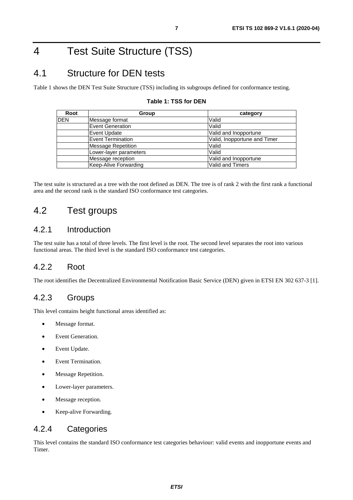# <span id="page-6-0"></span>4 Test Suite Structure (TSS)

### 4.1 Structure for DEN tests

Table 1 shows the DEN Test Suite Structure (TSS) including its subgroups defined for conformance testing.

| Root       | Group                    | category                     |
|------------|--------------------------|------------------------------|
| <b>DEN</b> | Message format           | Valid                        |
|            | <b>IEvent Generation</b> | Valid                        |
|            | Event Update             | Valid and Inopportune        |
|            | <b>Event Termination</b> | Valid, Inopportune and Timer |
|            | Message Repetition       | Valid                        |
|            | Lower-layer parameters   | Valid                        |
|            | Message reception        | Valid and Inopportune        |
|            | Keep-Alive Forwarding    | Valid and Timers             |

#### **Table 1: TSS for DEN**

The test suite is structured as a tree with the root defined as DEN. The tree is of rank 2 with the first rank a functional area and the second rank is the standard ISO conformance test categories.

### 4.2 Test groups

#### 4.2.1 Introduction

The test suite has a total of three levels. The first level is the root. The second level separates the root into various functional areas. The third level is the standard ISO conformance test categories.

#### 4.2.2 Root

The root identifies the Decentralized Environmental Notification Basic Service (DEN) given in ETSI EN 302 637-3 [\[1](#page-4-0)].

#### 4.2.3 Groups

This level contains height functional areas identified as:

- Message format.
- Event Generation.
- Event Update.
- Event Termination.
- Message Repetition.
- Lower-layer parameters.
- Message reception.
- Keep-alive Forwarding.

#### 4.2.4 Categories

This level contains the standard ISO conformance test categories behaviour: valid events and inopportune events and Timer.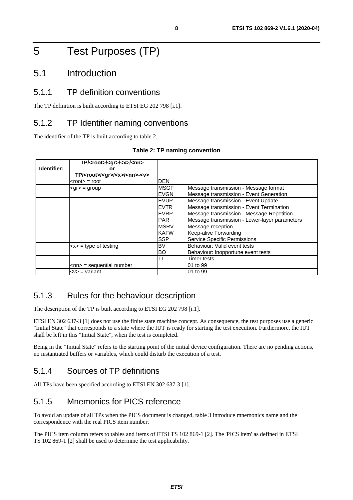# <span id="page-7-0"></span>5 Test Purposes (TP)

### 5.1 Introduction

#### 5.1.1 TP definition conventions

The TP definition is built according to ETSI EG 202 798 [\[i.1](#page-4-0)].

#### 5.1.2 TP Identifier naming conventions

The identifier of the TP is built according to table 2.

| Identifier: | TP/ <root>/<gr>/<x>/<nn><br/>or<br/>TP/<root>/<gr>/<x>/<nn>-<v></v></nn></x></gr></root></nn></x></gr></root> |             |                                               |
|-------------|---------------------------------------------------------------------------------------------------------------|-------------|-----------------------------------------------|
|             | $<$ root $>$ = root                                                                                           | <b>DEN</b>  |                                               |
|             | $\leq$ gr $>$ = group                                                                                         | <b>MSGF</b> | Message transmission - Message format         |
|             |                                                                                                               | <b>EVGN</b> | Message transmission - Event Generation       |
|             |                                                                                                               | <b>EVUP</b> | Message transmission - Event Update           |
|             |                                                                                                               | <b>EVTR</b> | Message transmission - Event Termination      |
|             |                                                                                                               | <b>EVRP</b> | Message transmission - Message Repetition     |
|             |                                                                                                               | <b>PAR</b>  | Message transmission - Lower-layer parameters |
|             |                                                                                                               | <b>MSRV</b> | Message reception                             |
|             |                                                                                                               | <b>KAFW</b> | Keep-alive Forwarding                         |
|             |                                                                                                               | <b>SSP</b>  | <b>Service Specific Permissions</b>           |
|             | $\langle x \rangle$ = type of testing                                                                         | <b>BV</b>   | Behaviour: Valid event tests                  |
|             |                                                                                                               | <b>BO</b>   | Behaviour: Inopportune event tests            |
|             |                                                                                                               | TI          | Timer tests                                   |
|             | $<$ nn> = sequential number                                                                                   |             | 01 to 99                                      |
|             | $< v>$ = variant                                                                                              |             | 01 to 99                                      |

#### **Table 2: TP naming convention**

#### 5.1.3 Rules for the behaviour description

The description of the TP is built according to ETSI EG 202 798 [\[i.1\]](#page-4-0).

ETSI EN 302 637-3 [[1](#page-4-0)] does not use the finite state machine concept. As consequence, the test purposes use a generic "Initial State" that corresponds to a state where the IUT is ready for starting the test execution. Furthermore, the IUT shall be left in this "Initial State", when the test is completed.

Being in the "Initial State" refers to the starting point of the initial device configuration. There are no pending actions, no instantiated buffers or variables, which could disturb the execution of a test.

#### 5.1.4 Sources of TP definitions

All TPs have been specified according to ETSI EN 302 637-3 [\[1\]](#page-4-0).

#### 5.1.5 Mnemonics for PICS reference

To avoid an update of all TPs when the PICS document is changed, table 3 introduce mnemonics name and the correspondence with the real PICS item number.

The PICS item column refers to tables and items of ETSI TS 102 869-1 [[2\]](#page-4-0). The 'PICS item' as defined in ETSI TS 102 869-1 [\[2\]](#page-4-0) shall be used to determine the test applicability.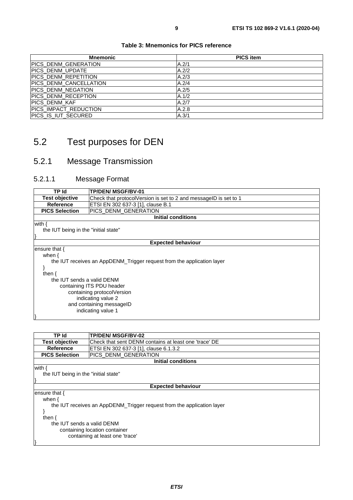<span id="page-8-0"></span>

| <b>Mnemonic</b>           | <b>PICS item</b> |
|---------------------------|------------------|
| PICS DENM GENERATION      | A.2/1            |
| PICS_DENM_UPDATE          | A.2/2            |
| PICS DENM REPETITION      | A.2/3            |
| PICS_DENM_CANCELLATION    | A.2/4            |
| <b>PICS DENM NEGATION</b> | A.2/5            |
| PICS_DENM_RECEPTION       | A.1/2            |
| PICS DENM KAF             | A.2/7            |
| PICS_IMPACT_REDUCTION     | A.2.8            |
| PICS IS IUT SECURED       | A.3/1            |

# 5.2 Test purposes for DEN

### 5.2.1 Message Transmission

#### 5.2.1.1 Message Format

| TP Id                                | <b>TP/DEN/ MSGF/BV-01</b>                                              |  |
|--------------------------------------|------------------------------------------------------------------------|--|
|                                      |                                                                        |  |
| <b>Test objective</b>                | Check that protocolVersion is set to 2 and messageID is set to 1       |  |
| Reference                            | ETSI EN 302 637-3 [1], clause B.1                                      |  |
| <b>PICS Selection</b>                | PICS_DENM_GENERATION                                                   |  |
|                                      | <b>Initial conditions</b>                                              |  |
| with {                               |                                                                        |  |
| the IUT being in the "initial state" |                                                                        |  |
|                                      |                                                                        |  |
|                                      | <b>Expected behaviour</b>                                              |  |
| ensure that {                        |                                                                        |  |
| when $\{$                            |                                                                        |  |
|                                      | the IUT receives an AppDENM_Trigger request from the application layer |  |
|                                      |                                                                        |  |
| then $\{$                            |                                                                        |  |
| the IUT sends a valid DENM           |                                                                        |  |
| containing ITS PDU header            |                                                                        |  |
| containing protocolVersion           |                                                                        |  |
| indicating value 2                   |                                                                        |  |
|                                      |                                                                        |  |
| and containing messageID             |                                                                        |  |
| indicating value 1                   |                                                                        |  |
|                                      |                                                                        |  |

| TP Id                                                                  | <b>TP/DEN/ MSGF/BV-02</b>                             |  |
|------------------------------------------------------------------------|-------------------------------------------------------|--|
| <b>Test objective</b>                                                  | Check that sent DENM contains at least one 'trace' DE |  |
| Reference                                                              | ETSI EN 302 637-3 [1], clause 6.1.3.2                 |  |
| <b>PICS Selection</b>                                                  | PICS DENM GENERATION                                  |  |
|                                                                        | <b>Initial conditions</b>                             |  |
| with {                                                                 |                                                       |  |
| the IUT being in the "initial state"                                   |                                                       |  |
|                                                                        |                                                       |  |
|                                                                        | <b>Expected behaviour</b>                             |  |
| ensure that {                                                          |                                                       |  |
| when $\{$                                                              |                                                       |  |
| the IUT receives an AppDENM_Trigger request from the application layer |                                                       |  |
|                                                                        |                                                       |  |
| then $\{$                                                              |                                                       |  |
| the IUT sends a valid DENM                                             |                                                       |  |
| containing location container                                          |                                                       |  |
|                                                                        | containing at least one 'trace'                       |  |
|                                                                        |                                                       |  |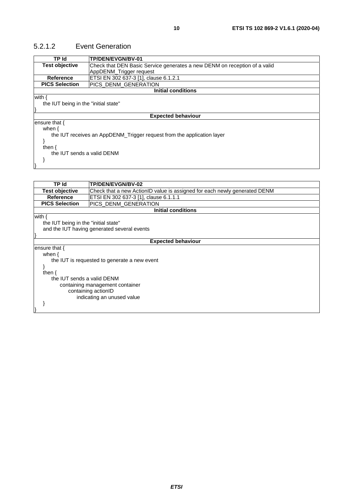#### <span id="page-9-0"></span>5.2.1.2 Event Generation

| <b>TP Id</b>                         | TP/DEN/EVGN/BV-01                                                         |  |
|--------------------------------------|---------------------------------------------------------------------------|--|
| <b>Test objective</b>                | Check that DEN Basic Service generates a new DENM on reception of a valid |  |
|                                      | AppDENM_Trigger request                                                   |  |
| <b>Reference</b>                     | ETSI EN 302 637-3 [1], clause 6.1.2.1                                     |  |
| <b>PICS Selection</b>                | PICS_DENM_GENERATION                                                      |  |
|                                      | Initial conditions                                                        |  |
| with {                               |                                                                           |  |
| the IUT being in the "initial state" |                                                                           |  |
|                                      |                                                                           |  |
| <b>Expected behaviour</b>            |                                                                           |  |
| lensure that {                       |                                                                           |  |
| when $\{$                            |                                                                           |  |
|                                      | the IUT receives an AppDENM_Trigger request from the application layer    |  |
|                                      |                                                                           |  |
| then $\{$                            |                                                                           |  |
| the IUT sends a valid DENM           |                                                                           |  |
|                                      |                                                                           |  |
|                                      |                                                                           |  |
|                                      |                                                                           |  |

| TP Id                                | TP/DEN/EVGN/BV-02                                                         |
|--------------------------------------|---------------------------------------------------------------------------|
| <b>Test objective</b>                | Check that a new ActionID value is assigned for each newly generated DENM |
| <b>Reference</b>                     | ETSI EN 302 637-3 [1], clause 6.1.1.1                                     |
| <b>PICS Selection</b>                | PICS_DENM_GENERATION                                                      |
|                                      | <b>Initial conditions</b>                                                 |
| with {                               |                                                                           |
| the IUT being in the "initial state" |                                                                           |
|                                      | and the IUT having generated several events                               |
|                                      |                                                                           |
|                                      | <b>Expected behaviour</b>                                                 |
| ensure that $\{$                     |                                                                           |
| when $\{$                            |                                                                           |
|                                      | the IUT is requested to generate a new event                              |
|                                      |                                                                           |
| then $\{$                            |                                                                           |
| the IUT sends a valid DENM           |                                                                           |
| containing management container      |                                                                           |
| containing actionID                  |                                                                           |
| indicating an unused value           |                                                                           |
|                                      |                                                                           |
|                                      |                                                                           |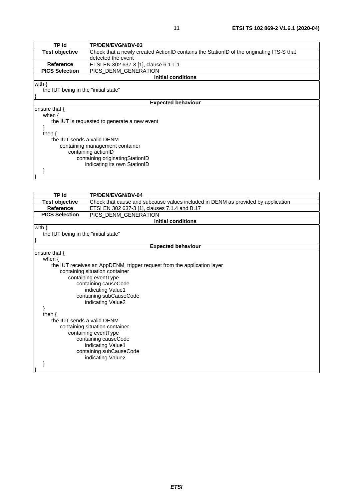| TP Id                                        | <b>TP/DEN/EVGN/BV-03</b>                                                                 |
|----------------------------------------------|------------------------------------------------------------------------------------------|
| Test objective                               | Check that a newly created ActionID contains the StationID of the originating ITS-S that |
|                                              | detected the event                                                                       |
| <b>Reference</b>                             | ETSI EN 302 637-3 [1], clause 6.1.1.1                                                    |
| <b>PICS Selection</b>                        | PICS_DENM_GENERATION                                                                     |
|                                              | <b>Initial conditions</b>                                                                |
| with $\{$                                    |                                                                                          |
| the IUT being in the "initial state"         |                                                                                          |
|                                              |                                                                                          |
|                                              | <b>Expected behaviour</b>                                                                |
| ensure that $\{$                             |                                                                                          |
| when $\{$                                    |                                                                                          |
| the IUT is requested to generate a new event |                                                                                          |
|                                              |                                                                                          |
| then $\{$                                    |                                                                                          |
| the IUT sends a valid DENM                   |                                                                                          |
| containing management container              |                                                                                          |
| containing actionID                          |                                                                                          |
| containing originating Station ID            |                                                                                          |
| indicating its own StationID                 |                                                                                          |
|                                              |                                                                                          |
|                                              |                                                                                          |

| TP Id                                                  | TP/DEN/EVGN/BV-04                                                                |  |
|--------------------------------------------------------|----------------------------------------------------------------------------------|--|
| <b>Test objective</b>                                  | Check that cause and subcause values included in DENM as provided by application |  |
| <b>Reference</b>                                       | ETSI EN 302 637-3 [1], clauses 7.1.4 and B.17                                    |  |
| <b>PICS Selection</b>                                  | PICS_DENM_GENERATION                                                             |  |
|                                                        | <b>Initial conditions</b>                                                        |  |
| with $\{$                                              |                                                                                  |  |
| the IUT being in the "initial state"                   |                                                                                  |  |
|                                                        |                                                                                  |  |
|                                                        | <b>Expected behaviour</b>                                                        |  |
| ensure that {                                          |                                                                                  |  |
| when $\{$                                              |                                                                                  |  |
|                                                        | the IUT receives an AppDENM_trigger request from the application layer           |  |
|                                                        | containing situation container                                                   |  |
|                                                        | containing eventType                                                             |  |
|                                                        | containing causeCode                                                             |  |
|                                                        | indicating Value1                                                                |  |
|                                                        | containing subCauseCode                                                          |  |
|                                                        | indicating Value2                                                                |  |
| then $\{$                                              |                                                                                  |  |
| the IUT sends a valid DENM                             |                                                                                  |  |
|                                                        |                                                                                  |  |
| containing situation container<br>containing eventType |                                                                                  |  |
| containing causeCode                                   |                                                                                  |  |
| indicating Value1                                      |                                                                                  |  |
| containing subCauseCode                                |                                                                                  |  |
| indicating Value2                                      |                                                                                  |  |
|                                                        |                                                                                  |  |
|                                                        |                                                                                  |  |
|                                                        |                                                                                  |  |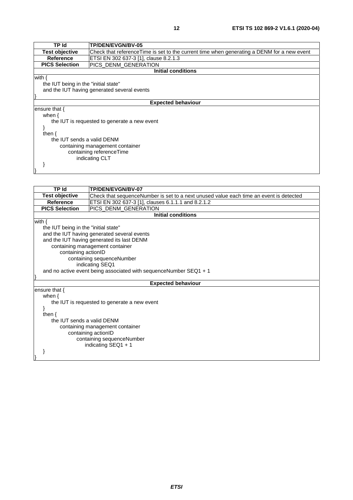| TP Id                                        | TP/DEN/EVGN/BV-05                                                                          |  |  |
|----------------------------------------------|--------------------------------------------------------------------------------------------|--|--|
| <b>Test objective</b>                        | Check that referenceTime is set to the current time when generating a DENM for a new event |  |  |
| Reference                                    | ETSI EN 302 637-3 [1], clause 8.2.1.3                                                      |  |  |
| <b>PICS Selection</b>                        | PICS DENM GENERATION                                                                       |  |  |
|                                              | <b>Initial conditions</b>                                                                  |  |  |
| with {                                       |                                                                                            |  |  |
| the IUT being in the "initial state"         |                                                                                            |  |  |
|                                              | and the IUT having generated several events                                                |  |  |
|                                              |                                                                                            |  |  |
|                                              | <b>Expected behaviour</b>                                                                  |  |  |
| ensure that {                                |                                                                                            |  |  |
| when $\{$                                    |                                                                                            |  |  |
| the IUT is requested to generate a new event |                                                                                            |  |  |
|                                              |                                                                                            |  |  |
| then $\{$                                    |                                                                                            |  |  |
| the IUT sends a valid DENM                   |                                                                                            |  |  |
| containing management container              |                                                                                            |  |  |
| containing referenceTime                     |                                                                                            |  |  |
| indicating CLT                               |                                                                                            |  |  |
|                                              |                                                                                            |  |  |
|                                              |                                                                                            |  |  |

| <b>TP Id</b>                         | TP/DEN/EVGN/BV-07                                                                      |  |
|--------------------------------------|----------------------------------------------------------------------------------------|--|
| <b>Test objective</b>                | Check that sequenceNumber is set to a next unused value each time an event is detected |  |
| <b>Reference</b>                     | ETSI EN 302 637-3 [1], clauses 6.1.1.1 and 8.2.1.2                                     |  |
| <b>PICS Selection</b>                | PICS_DENM_GENERATION                                                                   |  |
|                                      | <b>Initial conditions</b>                                                              |  |
| with $\{$                            |                                                                                        |  |
| the IUT being in the "initial state" |                                                                                        |  |
|                                      | and the IUT having generated several events                                            |  |
|                                      | and the IUT having generated its last DENM                                             |  |
|                                      | containing management container                                                        |  |
| containing actionID                  |                                                                                        |  |
|                                      | containing sequenceNumber                                                              |  |
| indicating SEQ1                      |                                                                                        |  |
|                                      | and no active event being associated with sequenceNumber SEQ1 + 1                      |  |
|                                      |                                                                                        |  |
|                                      | <b>Expected behaviour</b>                                                              |  |
| ensure that $\{$                     |                                                                                        |  |
| when $\{$                            |                                                                                        |  |
|                                      | the IUT is requested to generate a new event                                           |  |
|                                      |                                                                                        |  |
| then $\{$                            |                                                                                        |  |
| the IUT sends a valid DENM           |                                                                                        |  |
| containing management container      |                                                                                        |  |
| containing actionID                  |                                                                                        |  |
| containing sequenceNumber            |                                                                                        |  |
|                                      | indicating $SEQ1 + 1$                                                                  |  |
|                                      |                                                                                        |  |
|                                      |                                                                                        |  |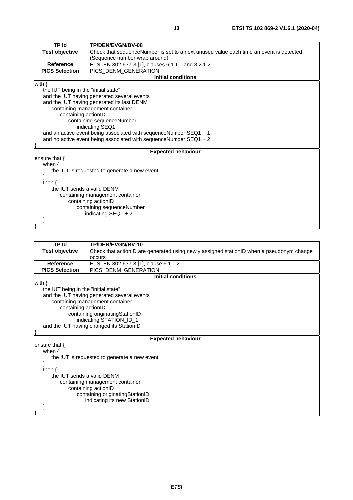| <b>TP Id</b>                         | TP/DEN/EVGN/BV-08                                                                      |
|--------------------------------------|----------------------------------------------------------------------------------------|
| <b>Test objective</b>                | Check that sequenceNumber is set to a next unused value each time an event is detected |
|                                      | (Sequence number wrap around)                                                          |
| <b>Reference</b>                     | ETSI EN 302 637-3 [1], clauses 6.1.1.1 and 8.2.1.2                                     |
| <b>PICS Selection</b>                | PICS_DENM_GENERATION                                                                   |
|                                      | <b>Initial conditions</b>                                                              |
| with $\{$                            |                                                                                        |
| the IUT being in the "initial state" |                                                                                        |
|                                      | and the IUT having generated several events                                            |
|                                      | and the IUT having generated its last DENM                                             |
|                                      | containing management container                                                        |
| containing actionID                  |                                                                                        |
|                                      | containing sequenceNumber                                                              |
|                                      | indicating SEQ1                                                                        |
|                                      | and an active event being associated with sequenceNumber SEQ1 + 1                      |
|                                      | and no active event being associated with sequence Number $SEQ1 + 2$                   |
|                                      | <b>Expected behaviour</b>                                                              |
| ensure that $\{$                     |                                                                                        |
| when $\{$                            |                                                                                        |
|                                      | the IUT is requested to generate a new event                                           |
|                                      |                                                                                        |
| then $\{$                            |                                                                                        |
| the IUT sends a valid DENM           |                                                                                        |
| containing management container      |                                                                                        |
|                                      | containing actionID                                                                    |
| containing sequenceNumber            |                                                                                        |
|                                      | indicating $SEQ1 + 2$                                                                  |
|                                      |                                                                                        |

| <b>TP Id</b>                         | TP/DEN/EVGN/BV-10                                                                        |  |
|--------------------------------------|------------------------------------------------------------------------------------------|--|
| <b>Test objective</b>                | Check that actionID are generated using newly assigned stationID when a pseudonym change |  |
|                                      | occurs                                                                                   |  |
| <b>Reference</b>                     | ETSI EN 302 637-3 [1], clause 6.1.1.2                                                    |  |
| <b>PICS Selection</b>                | PICS_DENM_GENERATION                                                                     |  |
|                                      | <b>Initial conditions</b>                                                                |  |
| with $\{$                            |                                                                                          |  |
| the IUT being in the "initial state" |                                                                                          |  |
|                                      | and the IUT having generated several events                                              |  |
|                                      | containing management container                                                          |  |
| containing actionID                  |                                                                                          |  |
|                                      | containing originatingStationID                                                          |  |
|                                      | indicating STATION_ID_1                                                                  |  |
|                                      | and the IUT having changed its StationID                                                 |  |
|                                      | <b>Expected behaviour</b>                                                                |  |
| ensure that {                        |                                                                                          |  |
| when $\{$                            |                                                                                          |  |
|                                      |                                                                                          |  |
|                                      | the IUT is requested to generate a new event                                             |  |
| then $\{$                            |                                                                                          |  |
|                                      | the IUT sends a valid DENM                                                               |  |
| containing management container      |                                                                                          |  |
| containing actionID                  |                                                                                          |  |
| containing originatingStationID      |                                                                                          |  |
| indicating its new StationID         |                                                                                          |  |
|                                      |                                                                                          |  |
|                                      |                                                                                          |  |
|                                      |                                                                                          |  |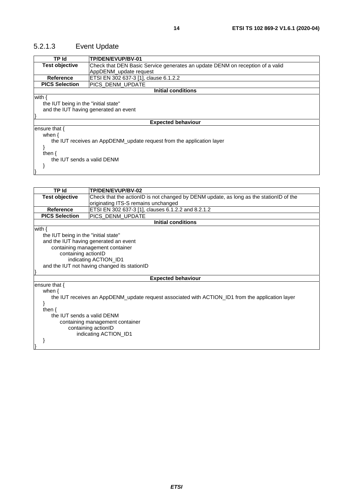### <span id="page-13-0"></span>5.2.1.3 Event Update

| TP Id                                | TP/DEN/EVUP/BV-01                                                             |
|--------------------------------------|-------------------------------------------------------------------------------|
| <b>Test objective</b>                | Check that DEN Basic Service generates an update DENM on reception of a valid |
|                                      | AppDENM update request                                                        |
| <b>Reference</b>                     | ETSI EN 302 637-3 [1], clause 6.1.2.2                                         |
| <b>PICS Selection</b>                | PICS DENM UPDATE                                                              |
|                                      | <b>Initial conditions</b>                                                     |
| with $\{$                            |                                                                               |
| the IUT being in the "initial state" |                                                                               |
|                                      | and the IUT having generated an event                                         |
|                                      |                                                                               |
|                                      | <b>Expected behaviour</b>                                                     |
| ensure that {                        |                                                                               |
| when $\{$                            |                                                                               |
|                                      | the IUT receives an AppDENM_update request from the application layer         |
|                                      |                                                                               |
| then $\{$                            |                                                                               |
| the IUT sends a valid DENM           |                                                                               |
|                                      |                                                                               |
|                                      |                                                                               |

| TP Id                                                                                            | TP/DEN/EVUP/BV-02                                                                      |  |
|--------------------------------------------------------------------------------------------------|----------------------------------------------------------------------------------------|--|
| <b>Test objective</b>                                                                            | Check that the actionID is not changed by DENM update, as long as the stationID of the |  |
|                                                                                                  | originating ITS-S remains unchanged                                                    |  |
| <b>Reference</b>                                                                                 | ETSI EN 302 637-3 [1], clauses 6.1.2.2 and 8.2.1.2                                     |  |
| <b>PICS Selection</b>                                                                            | PICS DENM_UPDATE                                                                       |  |
|                                                                                                  | <b>Initial conditions</b>                                                              |  |
| with $\{$                                                                                        |                                                                                        |  |
| the IUT being in the "initial state"                                                             |                                                                                        |  |
|                                                                                                  | and the IUT having generated an event                                                  |  |
|                                                                                                  | containing management container                                                        |  |
| containing actionID                                                                              |                                                                                        |  |
|                                                                                                  | indicating ACTION_ID1                                                                  |  |
|                                                                                                  | and the IUT not having changed its stationID                                           |  |
|                                                                                                  |                                                                                        |  |
|                                                                                                  | <b>Expected behaviour</b>                                                              |  |
| ensure that {                                                                                    |                                                                                        |  |
| when $\{$                                                                                        |                                                                                        |  |
| the IUT receives an AppDENM_update request associated with ACTION_ID1 from the application layer |                                                                                        |  |
|                                                                                                  |                                                                                        |  |
| then $\{$                                                                                        |                                                                                        |  |
| the IUT sends a valid DENM                                                                       |                                                                                        |  |
| containing management container                                                                  |                                                                                        |  |
| containing actionID                                                                              |                                                                                        |  |
| indicating ACTION_ID1                                                                            |                                                                                        |  |
|                                                                                                  |                                                                                        |  |
|                                                                                                  |                                                                                        |  |
|                                                                                                  |                                                                                        |  |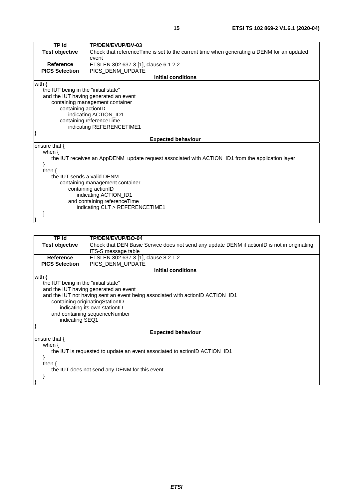| <b>TP Id</b>                         | TP/DEN/EVUP/BV-03                                                                                |  |
|--------------------------------------|--------------------------------------------------------------------------------------------------|--|
| <b>Test objective</b>                | Check that reference Time is set to the current time when generating a DENM for an updated       |  |
|                                      | event                                                                                            |  |
| <b>Reference</b>                     | ETSI EN 302 637-3 [1], clause 6.1.2.2                                                            |  |
| <b>PICS Selection</b>                | PICS_DENM_UPDATE                                                                                 |  |
|                                      | <b>Initial conditions</b>                                                                        |  |
| with $\{$                            |                                                                                                  |  |
| the IUT being in the "initial state" |                                                                                                  |  |
|                                      | and the IUT having generated an event                                                            |  |
|                                      | containing management container                                                                  |  |
| containing actionID                  |                                                                                                  |  |
|                                      | indicating ACTION_ID1                                                                            |  |
|                                      | containing referenceTime                                                                         |  |
|                                      | indicating REFERENCETIME1                                                                        |  |
|                                      |                                                                                                  |  |
|                                      | <b>Expected behaviour</b>                                                                        |  |
| ensure that $\{$                     |                                                                                                  |  |
| when $\{$                            |                                                                                                  |  |
|                                      | the IUT receives an AppDENM_update request associated with ACTION_ID1 from the application layer |  |
|                                      |                                                                                                  |  |
| then $\{$                            |                                                                                                  |  |
| the IUT sends a valid DENM           |                                                                                                  |  |
| containing management container      |                                                                                                  |  |
| containing actionID                  |                                                                                                  |  |
| indicating ACTION_ID1                |                                                                                                  |  |
| and containing referenceTime         |                                                                                                  |  |
|                                      | indicating CLT > REFERENCETIME1                                                                  |  |
|                                      |                                                                                                  |  |
|                                      |                                                                                                  |  |

| TP Id                                                                                                                                                                                                                                                                                               | TP/DEN/EVUP/BO-04                                                                            |
|-----------------------------------------------------------------------------------------------------------------------------------------------------------------------------------------------------------------------------------------------------------------------------------------------------|----------------------------------------------------------------------------------------------|
| <b>Test objective</b>                                                                                                                                                                                                                                                                               | Check that DEN Basic Service does not send any update DENM if actionID is not in originating |
|                                                                                                                                                                                                                                                                                                     | ITS-S message table                                                                          |
| <b>Reference</b>                                                                                                                                                                                                                                                                                    | ETSI EN 302 637-3 [1], clause 8.2.1.2                                                        |
| <b>PICS Selection</b>                                                                                                                                                                                                                                                                               | PICS_DENM_UPDATE                                                                             |
|                                                                                                                                                                                                                                                                                                     | <b>Initial conditions</b>                                                                    |
| with $\{$<br>the IUT being in the "initial state"<br>and the IUT having generated an event<br>and the IUT not having sent an event being associated with actionID ACTION_ID1<br>containing originatingStationID<br>indicating its own stationID<br>and containing sequenceNumber<br>indicating SEQ1 |                                                                                              |
|                                                                                                                                                                                                                                                                                                     | <b>Expected behaviour</b>                                                                    |
| ensure that $\{$<br>when $\{$<br>the IUT is requested to update an event associated to actionID ACTION_ID1<br>then $\{$<br>the IUT does not send any DENM for this event                                                                                                                            |                                                                                              |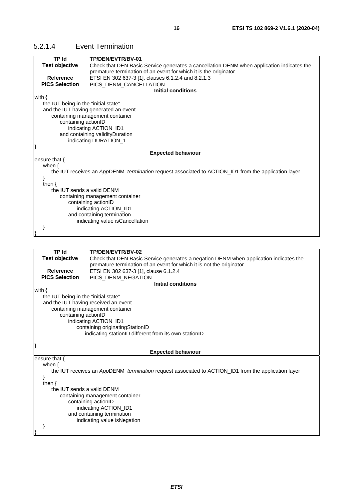#### <span id="page-15-0"></span>5.2.1.4 Event Termination

| <b>TP Id</b>                         | TP/DEN/EVTR/BV-01                                                                                   |  |
|--------------------------------------|-----------------------------------------------------------------------------------------------------|--|
| <b>Test objective</b>                | Check that DEN Basic Service generates a cancellation DENM when application indicates the           |  |
|                                      | premature termination of an event for which it is the originator                                    |  |
| <b>Reference</b>                     | ETSI EN 302 637-3 [1], clauses 6.1.2.4 and 8.2.1.3                                                  |  |
| <b>PICS Selection</b>                | PICS_DENM_CANCELLATION                                                                              |  |
|                                      | <b>Initial conditions</b>                                                                           |  |
| with $\{$                            |                                                                                                     |  |
| the IUT being in the "initial state" |                                                                                                     |  |
|                                      | and the IUT having generated an event                                                               |  |
|                                      | containing management container                                                                     |  |
| containing actionID                  |                                                                                                     |  |
|                                      | indicating ACTION_ID1                                                                               |  |
|                                      | and containing validityDuration                                                                     |  |
|                                      | indicating DURATION_1                                                                               |  |
|                                      |                                                                                                     |  |
|                                      | <b>Expected behaviour</b>                                                                           |  |
| ensure that {                        |                                                                                                     |  |
| when $\{$                            |                                                                                                     |  |
|                                      | the IUT receives an AppDENM_termination request associated to ACTION_ID1 from the application layer |  |
|                                      |                                                                                                     |  |
| then $\{$                            |                                                                                                     |  |
| the IUT sends a valid DENM           |                                                                                                     |  |
| containing management container      |                                                                                                     |  |
| containing actionID                  |                                                                                                     |  |
| indicating ACTION_ID1                |                                                                                                     |  |
| and containing termination           |                                                                                                     |  |
|                                      | indicating value isCancellation                                                                     |  |
|                                      |                                                                                                     |  |
|                                      |                                                                                                     |  |

| <b>TP Id</b>                                                                                        | TP/DEN/EVTR/BV-02                                                                     |  |
|-----------------------------------------------------------------------------------------------------|---------------------------------------------------------------------------------------|--|
| <b>Test objective</b>                                                                               | Check that DEN Basic Service generates a negation DENM when application indicates the |  |
|                                                                                                     | premature termination of an event for which it is not the originator                  |  |
| <b>Reference</b>                                                                                    | ETSI EN 302 637-3 [1], clause 6.1.2.4                                                 |  |
| <b>PICS Selection</b>                                                                               | PICS DENM NEGATION                                                                    |  |
|                                                                                                     | <b>Initial conditions</b>                                                             |  |
| with $\{$                                                                                           |                                                                                       |  |
| the IUT being in the "initial state"                                                                |                                                                                       |  |
| and the IUT having received an event                                                                |                                                                                       |  |
|                                                                                                     | containing management container                                                       |  |
| containing actionID                                                                                 |                                                                                       |  |
|                                                                                                     | indicating ACTION_ID1                                                                 |  |
|                                                                                                     | containing originatingStationID                                                       |  |
| indicating stationID different from its own stationID                                               |                                                                                       |  |
|                                                                                                     |                                                                                       |  |
|                                                                                                     |                                                                                       |  |
|                                                                                                     | <b>Expected behaviour</b>                                                             |  |
| ensure that $\{$                                                                                    |                                                                                       |  |
| when $\{$                                                                                           |                                                                                       |  |
| the IUT receives an AppDENM_termination request associated to ACTION_ID1 from the application layer |                                                                                       |  |
|                                                                                                     | ł                                                                                     |  |
| then $\{$                                                                                           |                                                                                       |  |
|                                                                                                     | the IUT sends a valid DENM                                                            |  |
| containing management container                                                                     |                                                                                       |  |
| containing actionID                                                                                 |                                                                                       |  |
| indicating ACTION_ID1                                                                               |                                                                                       |  |
| and containing termination                                                                          |                                                                                       |  |
|                                                                                                     | indicating value isNegation                                                           |  |
|                                                                                                     |                                                                                       |  |
|                                                                                                     |                                                                                       |  |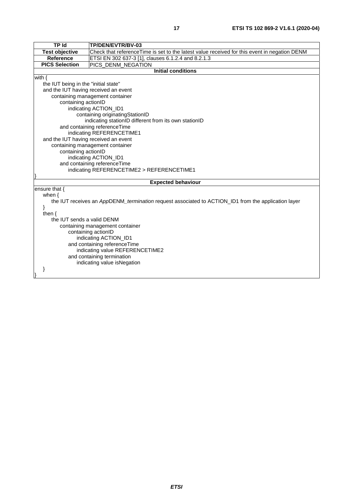| <b>TP Id</b>                         | TP/DEN/EVTR/BV-03                                                                                   |  |
|--------------------------------------|-----------------------------------------------------------------------------------------------------|--|
| <b>Test objective</b>                | Check that referenceTime is set to the latest value received for this event in negation DENM        |  |
| <b>Reference</b>                     | ETSI EN 302 637-3 [1], clauses 6.1.2.4 and 8.2.1.3                                                  |  |
| <b>PICS Selection</b>                | PICS DENM NEGATION                                                                                  |  |
|                                      | <b>Initial conditions</b>                                                                           |  |
| with $\{$                            |                                                                                                     |  |
| the IUT being in the "initial state" |                                                                                                     |  |
| and the IUT having received an event |                                                                                                     |  |
|                                      | containing management container                                                                     |  |
| containing actionID                  |                                                                                                     |  |
|                                      | indicating ACTION_ID1                                                                               |  |
|                                      | containing originatingStationID                                                                     |  |
|                                      | indicating stationID different from its own stationID                                               |  |
|                                      | and containing referenceTime                                                                        |  |
|                                      | indicating REFERENCETIME1                                                                           |  |
| and the IUT having received an event |                                                                                                     |  |
|                                      | containing management container                                                                     |  |
| containing actionID                  |                                                                                                     |  |
|                                      | indicating ACTION_ID1<br>and containing referenceTime                                               |  |
|                                      | indicating REFERENCETIME2 > REFERENCETIME1                                                          |  |
|                                      |                                                                                                     |  |
|                                      | <b>Expected behaviour</b>                                                                           |  |
| ensure that {                        |                                                                                                     |  |
| when $\{$                            |                                                                                                     |  |
|                                      | the IUT receives an AppDENM_termination request associated to ACTION_ID1 from the application layer |  |
| }                                    |                                                                                                     |  |
| then $\{$                            |                                                                                                     |  |
| the IUT sends a valid DENM           |                                                                                                     |  |
| containing management container      |                                                                                                     |  |
| containing actionID                  |                                                                                                     |  |
| indicating ACTION_ID1                |                                                                                                     |  |
| and containing referenceTime         |                                                                                                     |  |
|                                      | indicating value REFERENCETIME2                                                                     |  |
|                                      | and containing termination                                                                          |  |
|                                      | indicating value is Negation                                                                        |  |
|                                      |                                                                                                     |  |
|                                      |                                                                                                     |  |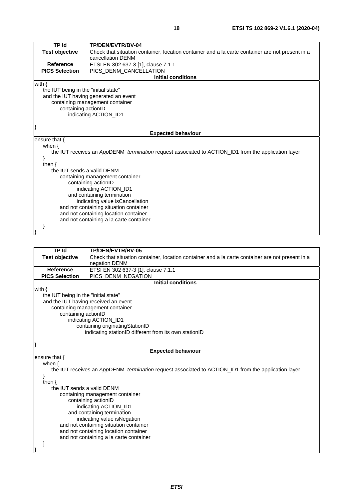| <b>TP Id</b>                           | TP/DEN/EVTR/BV-04                                                                                   |  |
|----------------------------------------|-----------------------------------------------------------------------------------------------------|--|
| <b>Test objective</b>                  | Check that situation container, location container and a la carte container are not present in a    |  |
|                                        | cancellation DENM                                                                                   |  |
| <b>Reference</b>                       | ETSI EN 302 637-3 [1], clause 7.1.1                                                                 |  |
| <b>PICS Selection</b>                  | PICS_DENM_CANCELLATION                                                                              |  |
|                                        | <b>Initial conditions</b>                                                                           |  |
| with $\{$                              |                                                                                                     |  |
| the IUT being in the "initial state"   |                                                                                                     |  |
|                                        | and the IUT having generated an event                                                               |  |
|                                        | containing management container                                                                     |  |
| containing actionID                    |                                                                                                     |  |
|                                        | indicating ACTION_ID1                                                                               |  |
|                                        |                                                                                                     |  |
|                                        |                                                                                                     |  |
|                                        | <b>Expected behaviour</b>                                                                           |  |
| ensure that $\{$                       |                                                                                                     |  |
| when $\{$                              |                                                                                                     |  |
|                                        | the IUT receives an AppDENM_termination request associated to ACTION_ID1 from the application layer |  |
|                                        |                                                                                                     |  |
| then $\{$                              |                                                                                                     |  |
|                                        | the IUT sends a valid DENM                                                                          |  |
|                                        | containing management container                                                                     |  |
| containing actionID                    |                                                                                                     |  |
| indicating ACTION_ID1                  |                                                                                                     |  |
| and containing termination             |                                                                                                     |  |
| indicating value isCancellation        |                                                                                                     |  |
| and not containing situation container |                                                                                                     |  |
|                                        | and not containing location container                                                               |  |
|                                        | and not containing a la carte container                                                             |  |
|                                        |                                                                                                     |  |

**TP Id TP/DEN/EVTR/BV-05 Test objective** Check that situation container, location container and a la carte container are not present in a negation DENM Reference ETSI EN 302 637-3 [\[1](#page-4-0)], clause 7.1.1<br>**PICS Selection** PICS\_DENM\_NEGATION PICS\_DENM\_NEGATION **Initial conditions** with { the IUT being in the "initial state" and the IUT having received an event containing management container containing actionID indicating ACTION\_ID1 containing originatingStationID indicating stationID different from its own stationID } **Expected behaviour** ensure that { when { the IUT receives an *App*DENM*\_termination* request associated to ACTION\_ID1 from the application layer } then { the IUT sends a valid DENM containing management container containing actionID indicating ACTION\_ID1 and containing termination indicating value isNegation and not containing situation container and not containing location container and not containing a la carte container

}

}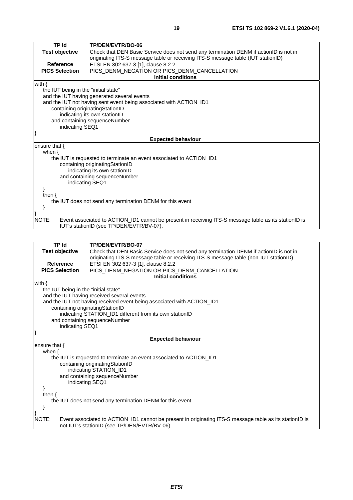| <b>TP Id</b>                                              | TP/DEN/EVTR/BO-06                                                                                     |  |
|-----------------------------------------------------------|-------------------------------------------------------------------------------------------------------|--|
| <b>Test objective</b>                                     | Check that DEN Basic Service does not send any termination DENM if actionID is not in                 |  |
|                                                           | originating ITS-S message table or receiving ITS-S message table (IUT stationID)                      |  |
| <b>Reference</b>                                          | ETSI EN 302 637-3 [1], clause 8.2.2                                                                   |  |
| <b>PICS Selection</b>                                     | PICS_DENM_NEGATION OR PICS_DENM_CANCELLATION                                                          |  |
|                                                           | <b>Initial conditions</b>                                                                             |  |
| with $\{$                                                 |                                                                                                       |  |
| the IUT being in the "initial state"                      |                                                                                                       |  |
|                                                           | and the IUT having generated several events                                                           |  |
|                                                           | and the IUT not having sent event being associated with ACTION_ID1                                    |  |
| containing originatingStationID                           |                                                                                                       |  |
|                                                           | indicating its own stationID                                                                          |  |
| and containing sequenceNumber                             |                                                                                                       |  |
|                                                           | indicating SEQ1                                                                                       |  |
|                                                           |                                                                                                       |  |
|                                                           | <b>Expected behaviour</b>                                                                             |  |
| ensure that $\{$                                          |                                                                                                       |  |
| when $\{$                                                 |                                                                                                       |  |
|                                                           | the IUT is requested to terminate an event associated to ACTION ID1                                   |  |
|                                                           | containing originatingStationID<br>indicating its own stationID                                       |  |
|                                                           | and containing sequenceNumber                                                                         |  |
|                                                           | indicating SEQ1                                                                                       |  |
|                                                           |                                                                                                       |  |
| then $\{$                                                 |                                                                                                       |  |
| the IUT does not send any termination DENM for this event |                                                                                                       |  |
|                                                           |                                                                                                       |  |
|                                                           |                                                                                                       |  |
| NOTE:                                                     | Event associated to ACTION_ID1 cannot be present in receiving ITS-S message table as its stationID is |  |
|                                                           | IUT's stationID (see TP/DEN/EVTR/BV-07).                                                              |  |

| <b>TP Id</b>                                              | TP/DEN/EVTR/BO-07                                                                                                                                       |  |
|-----------------------------------------------------------|---------------------------------------------------------------------------------------------------------------------------------------------------------|--|
| <b>Test objective</b>                                     | Check that DEN Basic Service does not send any termination DENM if actionID is not in                                                                   |  |
|                                                           | originating ITS-S message table or receiving ITS-S message table (non-IUT stationID)                                                                    |  |
| Reference                                                 | ETSI EN 302 637-3 [1], clause 8.2.2                                                                                                                     |  |
| <b>PICS Selection</b>                                     | PICS_DENM_NEGATION OR PICS_DENM_CANCELLATION                                                                                                            |  |
|                                                           | <b>Initial conditions</b>                                                                                                                               |  |
| with $\{$                                                 |                                                                                                                                                         |  |
| the IUT being in the "initial state"                      |                                                                                                                                                         |  |
|                                                           | and the IUT having received several events                                                                                                              |  |
|                                                           | and the IUT not having received event being associated with ACTION_ID1                                                                                  |  |
| containing originating Station ID                         |                                                                                                                                                         |  |
|                                                           | indicating STATION_ID1 different from its own stationID                                                                                                 |  |
|                                                           | and containing sequenceNumber                                                                                                                           |  |
|                                                           | indicating SEQ1                                                                                                                                         |  |
|                                                           |                                                                                                                                                         |  |
|                                                           | <b>Expected behaviour</b>                                                                                                                               |  |
| ensure that {                                             |                                                                                                                                                         |  |
| when $\{$                                                 |                                                                                                                                                         |  |
|                                                           | the IUT is requested to terminate an event associated to ACTION_ID1                                                                                     |  |
| containing originatingStationID                           |                                                                                                                                                         |  |
| indicating STATION_ID1                                    |                                                                                                                                                         |  |
| and containing sequenceNumber                             |                                                                                                                                                         |  |
| indicating SEQ1                                           |                                                                                                                                                         |  |
|                                                           |                                                                                                                                                         |  |
| then $\{$                                                 |                                                                                                                                                         |  |
| the IUT does not send any termination DENM for this event |                                                                                                                                                         |  |
| ł                                                         |                                                                                                                                                         |  |
| NOTE:                                                     | Event associated to ACTION_ID1 cannot be present in originating ITS-S message table as its stationID is<br>not IUT's stationID (see TP/DEN/EVTR/BV-06). |  |
|                                                           |                                                                                                                                                         |  |
|                                                           |                                                                                                                                                         |  |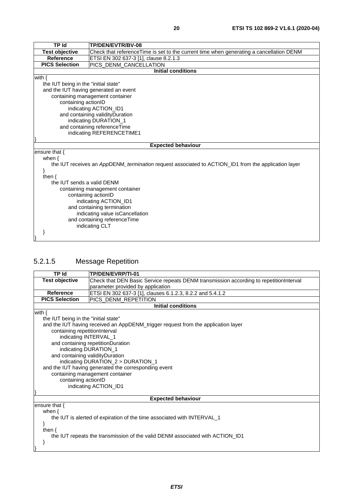<span id="page-19-0"></span>

| <b>TP Id</b>                         | TP/DEN/EVTR/BV-08                                                                                          |
|--------------------------------------|------------------------------------------------------------------------------------------------------------|
| <b>Test objective</b>                | Check that referenceTime is set to the current time when generating a cancellation DENM                    |
| <b>Reference</b>                     | ETSI EN 302 637-3 [1], clause 8.2.1.3                                                                      |
| <b>PICS Selection</b>                | PICS_DENM_CANCELLATION                                                                                     |
|                                      | <b>Initial conditions</b>                                                                                  |
| with $\{$                            |                                                                                                            |
| the IUT being in the "initial state" |                                                                                                            |
|                                      | and the IUT having generated an event                                                                      |
|                                      | containing management container                                                                            |
| containing actionID                  |                                                                                                            |
|                                      | indicating ACTION ID1                                                                                      |
|                                      | and containing validity Duration                                                                           |
|                                      | indicating DURATION_1                                                                                      |
| and containing referenceTime         |                                                                                                            |
| indicating REFERENCETIME1            |                                                                                                            |
|                                      |                                                                                                            |
|                                      | <b>Expected behaviour</b>                                                                                  |
| ensure that $\{$                     |                                                                                                            |
| when $\{$                            |                                                                                                            |
|                                      | the IUT receives an AppDENM <i>termination</i> request associated to ACTION ID1 from the application layer |
|                                      |                                                                                                            |
| then $\{$                            |                                                                                                            |
| the IUT sends a valid DENM           |                                                                                                            |
| containing management container      |                                                                                                            |
| containing actionID                  |                                                                                                            |
| indicating ACTION_ID1                |                                                                                                            |
| and containing termination           |                                                                                                            |
| indicating value is Cancellation     |                                                                                                            |
| and containing referenceTime         |                                                                                                            |
|                                      | indicating CLT                                                                                             |
|                                      |                                                                                                            |
|                                      |                                                                                                            |

#### 5.2.1.5 Message Repetition

| <b>TP Id</b>                         | TP/DEN/EVRP/TI-01                                                                      |  |
|--------------------------------------|----------------------------------------------------------------------------------------|--|
| <b>Test objective</b>                | Check that DEN Basic Service repeats DENM transmission according to repetitionInterval |  |
|                                      | parameter provided by application                                                      |  |
| <b>Reference</b>                     | ETSI EN 302 637-3 [1], clauses 6.1.2.3, 8.2.2 and 5.4.1.2                              |  |
| <b>PICS Selection</b>                | PICS_DENM_REPETITION                                                                   |  |
|                                      | <b>Initial conditions</b>                                                              |  |
| with $\{$                            |                                                                                        |  |
| the IUT being in the "initial state" |                                                                                        |  |
|                                      | and the IUT having received an AppDENM_trigger request from the application layer      |  |
| containing repetitionInterval        |                                                                                        |  |
| indicating INTERVAL_1                |                                                                                        |  |
|                                      | and containing repetitionDuration                                                      |  |
| indicating DURATION_1                |                                                                                        |  |
|                                      | and containing validityDuration                                                        |  |
|                                      | indicating DURATION_2 > DURATION_1                                                     |  |
|                                      | and the IUT having generated the corresponding event                                   |  |
|                                      | containing management container                                                        |  |
|                                      | containing actionID                                                                    |  |
| indicating ACTION_ID1                |                                                                                        |  |
|                                      | <b>Expected behaviour</b>                                                              |  |
| ensure that $\{$                     |                                                                                        |  |
| when $\{$                            |                                                                                        |  |
|                                      | the IUT is alerted of expiration of the time associated with INTERVAL_1                |  |
|                                      |                                                                                        |  |
| then $\{$                            |                                                                                        |  |
|                                      | the IUT repeats the transmission of the valid DENM associated with ACTION_ID1          |  |
|                                      |                                                                                        |  |
|                                      |                                                                                        |  |
|                                      |                                                                                        |  |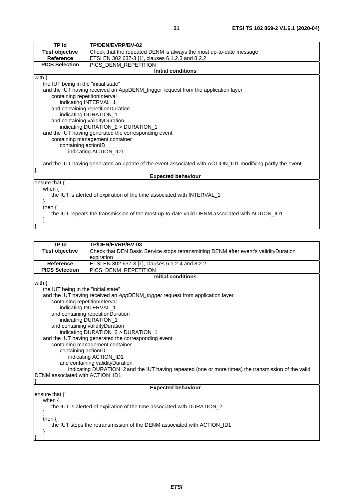| <b>TP Id</b>                                                                                  | TP/DEN/EVRP/BV-02                                                                                         |  |
|-----------------------------------------------------------------------------------------------|-----------------------------------------------------------------------------------------------------------|--|
| <b>Test objective</b>                                                                         | Check that the repeated DENM is always the most up-to-date message                                        |  |
| <b>Reference</b>                                                                              | ETSI EN 302 637-3 [1], clauses 6.1.2.3 and 8.2.2                                                          |  |
| <b>PICS Selection</b>                                                                         | PICS_DENM_REPETITION                                                                                      |  |
|                                                                                               | <b>Initial conditions</b>                                                                                 |  |
| with $\{$                                                                                     |                                                                                                           |  |
| the IUT being in the "initial state"                                                          |                                                                                                           |  |
|                                                                                               | and the IUT having received an AppDENM_trigger request from the application layer                         |  |
| containing repetitionInterval                                                                 |                                                                                                           |  |
|                                                                                               | indicating INTERVAL_1                                                                                     |  |
|                                                                                               | and containing repetitionDuration                                                                         |  |
|                                                                                               | indicating DURATION_1                                                                                     |  |
|                                                                                               | and containing validityDuration                                                                           |  |
|                                                                                               | indicating DURATION_2 > DURATION_1                                                                        |  |
|                                                                                               | and the IUT having generated the corresponding event                                                      |  |
|                                                                                               | containing management container                                                                           |  |
| containing actionID                                                                           |                                                                                                           |  |
| indicating ACTION_ID1                                                                         |                                                                                                           |  |
|                                                                                               |                                                                                                           |  |
|                                                                                               | and the IUT having generated an update of the event associated with ACTION_ID1 modifying partly the event |  |
|                                                                                               |                                                                                                           |  |
|                                                                                               | <b>Expected behaviour</b>                                                                                 |  |
| ensure that $\{$                                                                              |                                                                                                           |  |
| when $\{$                                                                                     |                                                                                                           |  |
|                                                                                               | the IUT is alerted of expiration of the time associated with INTERVAL_1                                   |  |
|                                                                                               |                                                                                                           |  |
| then $\{$                                                                                     |                                                                                                           |  |
| the IUT repeats the transmission of the most up-to-date valid DENM associated with ACTION_ID1 |                                                                                                           |  |

**TP Id TP/DEN/EVRP/BV-03**<br>**Test objective Check that DEN Basic** Check that DEN Basic Service stops retransmitting DENM after event's validityDuration expiration **Reference** ETSI EN 302 637-3 [\[1](#page-4-0)], clauses 6.1.2.4 and 8.2.2<br>**PICS Selection** PICS DENM REPETITION **PICS DENM REPETITION Initial conditions** with { the IUT being in the "initial state" and the IUT having received an *App*DENM*\_trigger* request from application layer containing repetitionInterval indicating INTERVAL\_1 and containing repetitionDuration indicating DURATION\_1 and containing validityDuration indicating DURATION\_2 > DURATION\_1 and the IUT having generated the corresponding event containing management container containing actionID indicating ACTION\_ID1 and containing validityDuration indicating DURATION\_2 and the IUT having repeated (one or more times) the transmission of the valid DENM associated with ACTION ID1 } **Expected behaviour** ensure that { when { the IUT is alerted of expiration of the time associated with DURATION\_2 } then {

}

}

 } }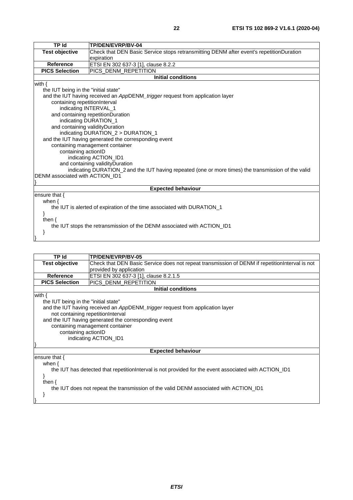| <b>TP Id</b>                                                                                        | TP/DEN/EVRP/BV-04                                                                       |  |  |
|-----------------------------------------------------------------------------------------------------|-----------------------------------------------------------------------------------------|--|--|
| <b>Test objective</b>                                                                               | Check that DEN Basic Service stops retransmitting DENM after event's repetitionDuration |  |  |
|                                                                                                     | expiration                                                                              |  |  |
| Reference                                                                                           | ETSI EN 302 637-3 [1], clause 8.2.2                                                     |  |  |
| <b>PICS Selection</b>                                                                               | PICS DENM REPETITION                                                                    |  |  |
|                                                                                                     | <b>Initial conditions</b>                                                               |  |  |
| with $\{$                                                                                           |                                                                                         |  |  |
| the IUT being in the "initial state"                                                                |                                                                                         |  |  |
|                                                                                                     | and the IUT having received an AppDENM_trigger request from application layer           |  |  |
| containing repetitionInterval                                                                       |                                                                                         |  |  |
| indicating INTERVAL_1                                                                               |                                                                                         |  |  |
|                                                                                                     | and containing repetitionDuration                                                       |  |  |
|                                                                                                     | indicating DURATION_1                                                                   |  |  |
| and containing validity Duration                                                                    |                                                                                         |  |  |
|                                                                                                     | indicating DURATION_2 > DURATION_1                                                      |  |  |
| and the IUT having generated the corresponding event                                                |                                                                                         |  |  |
| containing management container                                                                     |                                                                                         |  |  |
| containing actionID                                                                                 |                                                                                         |  |  |
| indicating ACTION_ID1<br>and containing validityDuration                                            |                                                                                         |  |  |
| indicating DURATION_2 and the IUT having repeated (one or more times) the transmission of the valid |                                                                                         |  |  |
| DENM associated with ACTION_ID1                                                                     |                                                                                         |  |  |
|                                                                                                     |                                                                                         |  |  |
|                                                                                                     | <b>Expected behaviour</b>                                                               |  |  |
| ensure that {                                                                                       |                                                                                         |  |  |
| when $\{$                                                                                           |                                                                                         |  |  |
|                                                                                                     | the IUT is alerted of expiration of the time associated with DURATION_1                 |  |  |
|                                                                                                     |                                                                                         |  |  |
| then $\{$                                                                                           |                                                                                         |  |  |
| the IUT stops the retransmission of the DENM associated with ACTION_ID1                             |                                                                                         |  |  |
|                                                                                                     |                                                                                         |  |  |
|                                                                                                     |                                                                                         |  |  |

| <b>TP Id</b>                                                                                           | TP/DEN/EVRP/BV-05                                                                               |  |
|--------------------------------------------------------------------------------------------------------|-------------------------------------------------------------------------------------------------|--|
| <b>Test objective</b>                                                                                  | Check that DEN Basic Service does not repeat transmission of DENM if repetition Interval is not |  |
|                                                                                                        | provided by application                                                                         |  |
| <b>Reference</b>                                                                                       | ETSI EN 302 637-3 [1], clause 8.2.1.5                                                           |  |
| <b>PICS Selection</b>                                                                                  | PICS_DENM_REPETITION                                                                            |  |
|                                                                                                        | <b>Initial conditions</b>                                                                       |  |
| with $\{$                                                                                              |                                                                                                 |  |
| the IUT being in the "initial state"                                                                   |                                                                                                 |  |
|                                                                                                        | and the IUT having received an AppDENM_trigger request from application layer                   |  |
|                                                                                                        | not containing repetitionInterval                                                               |  |
|                                                                                                        | and the IUT having generated the corresponding event                                            |  |
|                                                                                                        | containing management container                                                                 |  |
|                                                                                                        | containing actionID                                                                             |  |
| indicating ACTION_ID1                                                                                  |                                                                                                 |  |
|                                                                                                        |                                                                                                 |  |
|                                                                                                        | <b>Expected behaviour</b>                                                                       |  |
| ensure that $\{$                                                                                       |                                                                                                 |  |
| when $\{$                                                                                              |                                                                                                 |  |
| the IUT has detected that repetition Interval is not provided for the event associated with ACTION_ID1 |                                                                                                 |  |
|                                                                                                        |                                                                                                 |  |
| then $\{$                                                                                              |                                                                                                 |  |
|                                                                                                        | the IUT does not repeat the transmission of the valid DENM associated with ACTION ID1           |  |
|                                                                                                        |                                                                                                 |  |
|                                                                                                        |                                                                                                 |  |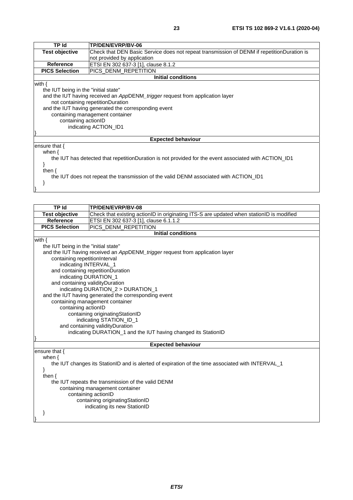| TP Id                                | <b>TP/DEN/EVRP/BV-06</b>                                                                              |
|--------------------------------------|-------------------------------------------------------------------------------------------------------|
| <b>Test objective</b>                | Check that DEN Basic Service does not repeat transmission of DENM if repetitionDuration is            |
|                                      | not provided by application                                                                           |
| <b>Reference</b>                     | ETSI EN 302 637-3 [1], clause 8.1.2                                                                   |
| <b>PICS Selection</b>                | PICS DENM REPETITION                                                                                  |
|                                      | Initial conditions                                                                                    |
| with $\{$                            |                                                                                                       |
| the IUT being in the "initial state" |                                                                                                       |
|                                      | and the IUT having received an AppDENM_trigger request from application layer                         |
|                                      | not containing repetitionDuration                                                                     |
|                                      | and the IUT having generated the corresponding event                                                  |
|                                      | containing management container                                                                       |
| containing actionID                  |                                                                                                       |
|                                      | indicating ACTION_ID1                                                                                 |
|                                      |                                                                                                       |
|                                      | <b>Expected behaviour</b>                                                                             |
| ensure that $\{$                     |                                                                                                       |
| when $\{$                            |                                                                                                       |
|                                      | the IUT has detected that repetitionDuration is not provided for the event associated with ACTION ID1 |
|                                      |                                                                                                       |
| then $\{$                            |                                                                                                       |
|                                      | the IUT does not repeat the transmission of the valid DENM associated with ACTION ID1                 |
|                                      |                                                                                                       |

| <b>TP Id</b>                                                                                      |                                                                                          |  |
|---------------------------------------------------------------------------------------------------|------------------------------------------------------------------------------------------|--|
|                                                                                                   | TP/DEN/EVRP/BV-08                                                                        |  |
| <b>Test objective</b>                                                                             | Check that existing actionID in originating ITS-S are updated when stationID is modified |  |
| Reference                                                                                         | ETSI EN 302 637-3 [1], clause 6.1.1.2                                                    |  |
|                                                                                                   | <b>PICS Selection</b><br>PICS DENM REPETITION                                            |  |
|                                                                                                   | <b>Initial conditions</b>                                                                |  |
| with $\{$                                                                                         |                                                                                          |  |
| the IUT being in the "initial state"                                                              |                                                                                          |  |
|                                                                                                   | and the IUT having received an AppDENM_trigger request from application layer            |  |
| containing repetitionInterval                                                                     |                                                                                          |  |
| indicating INTERVAL_1                                                                             |                                                                                          |  |
|                                                                                                   | and containing repetitionDuration                                                        |  |
|                                                                                                   | indicating DURATION_1                                                                    |  |
| and containing validityDuration                                                                   |                                                                                          |  |
|                                                                                                   | indicating DURATION_2 > DURATION_1                                                       |  |
|                                                                                                   | and the IUT having generated the corresponding event                                     |  |
|                                                                                                   | containing management container                                                          |  |
| containing actionID                                                                               |                                                                                          |  |
|                                                                                                   | containing originatingStationID                                                          |  |
|                                                                                                   | indicating STATION_ID_1                                                                  |  |
|                                                                                                   | and containing validityDuration                                                          |  |
|                                                                                                   | indicating DURATION_1 and the IUT having changed its StationID                           |  |
|                                                                                                   |                                                                                          |  |
|                                                                                                   | <b>Expected behaviour</b>                                                                |  |
| ensure that {                                                                                     |                                                                                          |  |
| when $\{$                                                                                         |                                                                                          |  |
| the IUT changes its StationID and is alerted of expiration of the time associated with INTERVAL_1 |                                                                                          |  |
| }                                                                                                 |                                                                                          |  |
| then $\{$                                                                                         |                                                                                          |  |
| the IUT repeats the transmission of the valid DENM                                                |                                                                                          |  |
| containing management container                                                                   |                                                                                          |  |
| containing actionID                                                                               |                                                                                          |  |
| containing originatingStationID                                                                   |                                                                                          |  |
|                                                                                                   | indicating its new StationID                                                             |  |
|                                                                                                   |                                                                                          |  |
|                                                                                                   |                                                                                          |  |
|                                                                                                   |                                                                                          |  |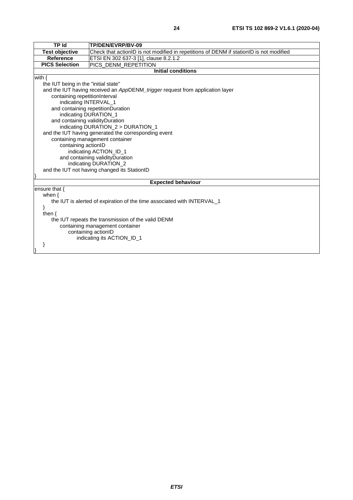| <b>TP Id</b>                                                            | TP/DEN/EVRP/BV-09                                                                       |  |
|-------------------------------------------------------------------------|-----------------------------------------------------------------------------------------|--|
| <b>Test objective</b>                                                   | Check that actionID is not modified in repetitions of DENM if stationID is not modified |  |
| <b>Reference</b>                                                        | ETSI EN 302 637-3 [1], clause 8.2.1.2                                                   |  |
| <b>PICS Selection</b>                                                   | PICS DENM REPETITION                                                                    |  |
|                                                                         | <b>Initial conditions</b>                                                               |  |
| with $\{$                                                               |                                                                                         |  |
| the IUT being in the "initial state"                                    |                                                                                         |  |
|                                                                         | and the IUT having received an AppDENM_trigger request from application layer           |  |
| containing repetitionInterval                                           |                                                                                         |  |
| indicating INTERVAL_1                                                   |                                                                                         |  |
|                                                                         | and containing repetitionDuration                                                       |  |
|                                                                         | indicating DURATION_1                                                                   |  |
| and containing validityDuration                                         |                                                                                         |  |
|                                                                         | indicating DURATION_2 > DURATION_1                                                      |  |
|                                                                         | and the IUT having generated the corresponding event                                    |  |
|                                                                         | containing management container                                                         |  |
| containing actionID                                                     |                                                                                         |  |
| indicating ACTION_ID_1                                                  |                                                                                         |  |
| and containing validityDuration                                         |                                                                                         |  |
| indicating DURATION_2                                                   |                                                                                         |  |
| and the IUT not having changed its StationID                            |                                                                                         |  |
|                                                                         |                                                                                         |  |
| <b>Expected behaviour</b>                                               |                                                                                         |  |
| ensure that $\{$                                                        |                                                                                         |  |
| when $\{$                                                               |                                                                                         |  |
| the IUT is alerted of expiration of the time associated with INTERVAL_1 |                                                                                         |  |
|                                                                         |                                                                                         |  |
| then $\{$                                                               |                                                                                         |  |
| the IUT repeats the transmission of the valid DENM                      |                                                                                         |  |
| containing management container                                         |                                                                                         |  |
| containing actionID                                                     |                                                                                         |  |
| indicating its ACTION_ID_1                                              |                                                                                         |  |
|                                                                         |                                                                                         |  |
|                                                                         |                                                                                         |  |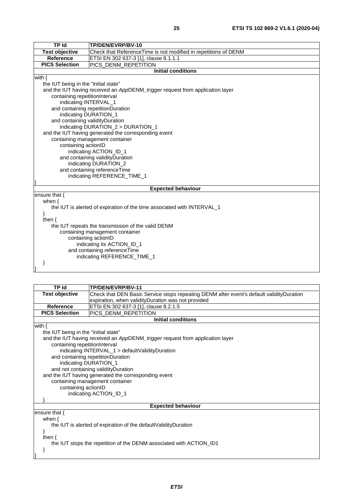| <b>TP Id</b><br>TP/DEN/EVRP/BV-10<br><b>Test objective</b><br>Check that ReferenceTime is not modified in repetitions of DENM<br><b>Reference</b><br>ETSI EN 302 637-3 [1], clause 8.1.1.1 |  |
|--------------------------------------------------------------------------------------------------------------------------------------------------------------------------------------------|--|
|                                                                                                                                                                                            |  |
|                                                                                                                                                                                            |  |
| <b>PICS Selection</b><br>PICS_DENM_REPETITION                                                                                                                                              |  |
| <b>Initial conditions</b>                                                                                                                                                                  |  |
| with $\{$                                                                                                                                                                                  |  |
| the IUT being in the "initial state"                                                                                                                                                       |  |
| and the IUT having received an AppDENM_trigger request from application layer                                                                                                              |  |
| containing repetitionInterval                                                                                                                                                              |  |
| indicating INTERVAL_1                                                                                                                                                                      |  |
| and containing repetitionDuration                                                                                                                                                          |  |
| indicating DURATION_1                                                                                                                                                                      |  |
| and containing validityDuration                                                                                                                                                            |  |
| indicating DURATION_2 > DURATION_1                                                                                                                                                         |  |
| and the IUT having generated the corresponding event                                                                                                                                       |  |
| containing management container                                                                                                                                                            |  |
| containing actionID                                                                                                                                                                        |  |
| indicating ACTION_ID_1                                                                                                                                                                     |  |
| and containing validityDuration                                                                                                                                                            |  |
| indicating DURATION_2                                                                                                                                                                      |  |
| and containing referenceTime                                                                                                                                                               |  |
| indicating REFERENCE_TIME_1                                                                                                                                                                |  |
|                                                                                                                                                                                            |  |
| <b>Expected behaviour</b>                                                                                                                                                                  |  |
| ensure that {                                                                                                                                                                              |  |
| when $\{$                                                                                                                                                                                  |  |
| the IUT is alerted of expiration of the time associated with INTERVAL_1                                                                                                                    |  |
| ł                                                                                                                                                                                          |  |
| then $\{$                                                                                                                                                                                  |  |
| the IUT repeats the transmission of the valid DENM<br>containing management container                                                                                                      |  |
| containing actionID                                                                                                                                                                        |  |
| indicating its ACTION_ID_1                                                                                                                                                                 |  |
| and containing referenceTime                                                                                                                                                               |  |
| indicating REFERENCE_TIME_1                                                                                                                                                                |  |
|                                                                                                                                                                                            |  |
|                                                                                                                                                                                            |  |

|                                                                     | TP Id<br><b>TP/DEN/EVRP/BV-11</b>                                                        |  |
|---------------------------------------------------------------------|------------------------------------------------------------------------------------------|--|
| <b>Test objective</b>                                               | Check that DEN Basic Service stops repeating DENM after event's default validityDuration |  |
|                                                                     | expiration, when validityDuration was not provided                                       |  |
| <b>Reference</b>                                                    | ETSI EN 302 637-3 [1], clause 8.2.1.5                                                    |  |
| <b>PICS Selection</b>                                               | PICS_DENM_REPETITION                                                                     |  |
|                                                                     | <b>Initial conditions</b>                                                                |  |
| with $\{$                                                           |                                                                                          |  |
| the IUT being in the "initial state"                                |                                                                                          |  |
|                                                                     | and the IUT having received an AppDENM_trigger request from application layer            |  |
| containing repetitionInterval                                       |                                                                                          |  |
|                                                                     | indicating INTERVAL_1 > defaultValidityDuration                                          |  |
|                                                                     | and containing repetitionDuration                                                        |  |
|                                                                     | indicating DURATION_1                                                                    |  |
|                                                                     | and not containing validity Duration                                                     |  |
|                                                                     | and the IUT having generated the corresponding event                                     |  |
|                                                                     | containing management container                                                          |  |
| containing actionID                                                 |                                                                                          |  |
|                                                                     | indicating ACTION_ID_1                                                                   |  |
|                                                                     |                                                                                          |  |
|                                                                     | <b>Expected behaviour</b>                                                                |  |
| ensure that $\{$                                                    |                                                                                          |  |
| when $\{$                                                           |                                                                                          |  |
| the IUT is alerted of expiration of the default Validity Duration   |                                                                                          |  |
| ł                                                                   |                                                                                          |  |
| then $\{$                                                           |                                                                                          |  |
| the IUT stops the repetition of the DENM associated with ACTION_ID1 |                                                                                          |  |
| }                                                                   |                                                                                          |  |
|                                                                     |                                                                                          |  |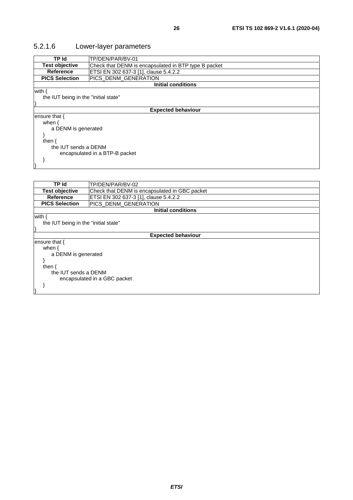### <span id="page-25-0"></span>5.2.1.6 Lower-layer parameters

| TP Id                                | TP/DEN/PAR/BV-01                                     |  |  |
|--------------------------------------|------------------------------------------------------|--|--|
| <b>Test objective</b>                | Check that DENM is encapsulated in BTP type B packet |  |  |
| <b>Reference</b>                     | ETSI EN 302 637-3 [1], clause 5.4.2.2                |  |  |
| <b>PICS Selection</b>                | PICS_DENM_GENERATION                                 |  |  |
|                                      | <b>Initial conditions</b>                            |  |  |
| with {                               |                                                      |  |  |
| the IUT being in the "initial state" |                                                      |  |  |
|                                      |                                                      |  |  |
| <b>Expected behaviour</b>            |                                                      |  |  |
| ensure that {                        |                                                      |  |  |
| when $\{$                            |                                                      |  |  |
| a DENM is generated                  |                                                      |  |  |
|                                      |                                                      |  |  |
| then $\{$                            |                                                      |  |  |
| the IUT sends a DENM                 |                                                      |  |  |
| encapsulated in a BTP-B packet       |                                                      |  |  |
|                                      |                                                      |  |  |
|                                      |                                                      |  |  |
|                                      |                                                      |  |  |
|                                      |                                                      |  |  |
| -- · ·                               | T''                                                  |  |  |

| TP Id                                | TP/DEN/PAR/BV-02                              |  |  |
|--------------------------------------|-----------------------------------------------|--|--|
| <b>Test objective</b>                | Check that DENM is encapsulated in GBC packet |  |  |
| <b>Reference</b>                     | ETSI EN 302 637-3 [1], clause 5.4.2.2         |  |  |
| <b>PICS Selection</b>                | PICS DENM GENERATION                          |  |  |
|                                      | <b>Initial conditions</b>                     |  |  |
| with {                               |                                               |  |  |
| the IUT being in the "initial state" |                                               |  |  |
|                                      |                                               |  |  |
| <b>Expected behaviour</b>            |                                               |  |  |
| ensure that $\{$                     |                                               |  |  |
| when $\{$                            |                                               |  |  |
| a DENM is generated                  |                                               |  |  |
|                                      |                                               |  |  |
| then $\{$                            |                                               |  |  |
| the IUT sends a DENM                 |                                               |  |  |
| encapsulated in a GBC packet         |                                               |  |  |
|                                      |                                               |  |  |
|                                      |                                               |  |  |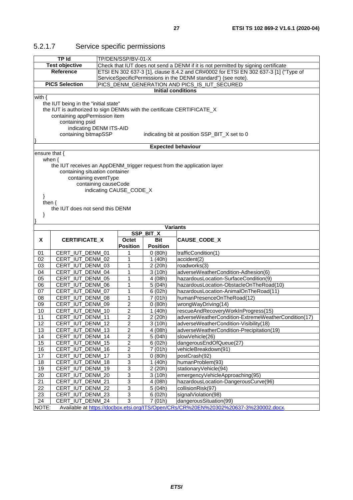| <b>Test objective</b><br>Check that IUT does not send a DENM if it is not permitted by signing certificate<br>ETSI EN 302 637-3 [1], clause 8.4.2 and CR#0002 for ETSI EN 302 637-3 [1] ("Type of<br><b>Reference</b><br>ServiceSpecificPermissions in the DENM standard") (see note).<br><b>PICS Selection</b><br>PICS_DENM_GENERATION AND PICS_IS_IUT_SECURED<br><b>Initial conditions</b><br>with $\{$<br>the IUT being in the "initial state"<br>the IUT is authorized to sign DENMs with the certificate CERTIFICATE_X<br>containing appPermission item<br>containing psid<br>indicating DENM ITS-AID<br>containing bitmapSSP<br>indicating bit at position SSP_BIT_X set to 0<br><b>Expected behaviour</b><br>ensure that {<br>when $\{$<br>the IUT receives an AppDENM_trigger request from the application layer<br>containing situation container<br>containing eventType<br>containing causeCode<br>indicating CAUSE_CODE_X<br>}<br>then $\{$<br>the IUT does not send this DENM<br>}<br><b>Variants</b><br>SSP_BIT_X<br>X<br>CERTIFICATE_X<br>CAUSE_CODE_X<br>Octet<br>Bit<br><b>Position</b><br><b>Position</b><br>CERT_IUT_DENM_01<br>trafficCondition(1)<br>0(80h)<br>01<br>1<br>02<br>CERT_IUT_DENM_02<br>1<br>1(40h)<br>accident(2)<br>03<br>CERT_IUT_DENM_03<br>1<br>2 (20h)<br>roadworks(3)<br>CERT_IUT_DENM_04<br>1<br>adverseWeatherCondition-Adhesion(6)<br>04<br>3(10h)<br>CERT_IUT_DENM_05<br>1<br>hazardousLocation-SurfaceCondition(9)<br>05<br>4 (08h)<br>1<br>CERT_IUT_DENM_06<br>5(04h)<br>hazardousLocation-ObstacleOnTheRoad(10)<br>06<br>1<br>07<br>CERT_IUT_DENM_07<br>6(02h)<br>hazardousLocation-AnimalOnTheRoad(11)<br>CERT_IUT_DENM_08<br>1<br>08<br>7(01h)<br>humanPresenceOnTheRoad(12)<br>CERT_IUT_DENM_09<br>2<br>wrongWayDriving(14)<br>09<br>0(80h)<br>2<br>CERT_IUT_DENM_10<br>1(40h)<br>rescueAndRecoveryWorkInProgress(15)<br>10<br>$\overline{c}$<br>11<br>CERT_IUT_DENM_11<br>2 (20h)<br>adverseWeatherCondition-ExtremeWeatherCondition(17)<br>12<br>CERT_IUT_DENM_12<br>$\boldsymbol{2}$<br>3(10h)<br>adverseWeatherCondition-Visibility(18)<br>$\overline{2}$<br>$\overline{13}$<br>CERT_IUT_DENM_13<br>adverseWeatherCondition-Precipitation(19)<br>4 (08h)<br>CERT_IUT_DENM_14<br>5(04h)<br>slowVehicle(26) |
|-----------------------------------------------------------------------------------------------------------------------------------------------------------------------------------------------------------------------------------------------------------------------------------------------------------------------------------------------------------------------------------------------------------------------------------------------------------------------------------------------------------------------------------------------------------------------------------------------------------------------------------------------------------------------------------------------------------------------------------------------------------------------------------------------------------------------------------------------------------------------------------------------------------------------------------------------------------------------------------------------------------------------------------------------------------------------------------------------------------------------------------------------------------------------------------------------------------------------------------------------------------------------------------------------------------------------------------------------------------------------------------------------------------------------------------------------------------------------------------------------------------------------------------------------------------------------------------------------------------------------------------------------------------------------------------------------------------------------------------------------------------------------------------------------------------------------------------------------------------------------------------------------------------------------------------------------------------------------------------------------------------------------------------------------------------------------------------------------------------------------------------------------------------------------------------------------------------------------------------------------------------------|
|                                                                                                                                                                                                                                                                                                                                                                                                                                                                                                                                                                                                                                                                                                                                                                                                                                                                                                                                                                                                                                                                                                                                                                                                                                                                                                                                                                                                                                                                                                                                                                                                                                                                                                                                                                                                                                                                                                                                                                                                                                                                                                                                                                                                                                                                 |
|                                                                                                                                                                                                                                                                                                                                                                                                                                                                                                                                                                                                                                                                                                                                                                                                                                                                                                                                                                                                                                                                                                                                                                                                                                                                                                                                                                                                                                                                                                                                                                                                                                                                                                                                                                                                                                                                                                                                                                                                                                                                                                                                                                                                                                                                 |
|                                                                                                                                                                                                                                                                                                                                                                                                                                                                                                                                                                                                                                                                                                                                                                                                                                                                                                                                                                                                                                                                                                                                                                                                                                                                                                                                                                                                                                                                                                                                                                                                                                                                                                                                                                                                                                                                                                                                                                                                                                                                                                                                                                                                                                                                 |
|                                                                                                                                                                                                                                                                                                                                                                                                                                                                                                                                                                                                                                                                                                                                                                                                                                                                                                                                                                                                                                                                                                                                                                                                                                                                                                                                                                                                                                                                                                                                                                                                                                                                                                                                                                                                                                                                                                                                                                                                                                                                                                                                                                                                                                                                 |
|                                                                                                                                                                                                                                                                                                                                                                                                                                                                                                                                                                                                                                                                                                                                                                                                                                                                                                                                                                                                                                                                                                                                                                                                                                                                                                                                                                                                                                                                                                                                                                                                                                                                                                                                                                                                                                                                                                                                                                                                                                                                                                                                                                                                                                                                 |
|                                                                                                                                                                                                                                                                                                                                                                                                                                                                                                                                                                                                                                                                                                                                                                                                                                                                                                                                                                                                                                                                                                                                                                                                                                                                                                                                                                                                                                                                                                                                                                                                                                                                                                                                                                                                                                                                                                                                                                                                                                                                                                                                                                                                                                                                 |
|                                                                                                                                                                                                                                                                                                                                                                                                                                                                                                                                                                                                                                                                                                                                                                                                                                                                                                                                                                                                                                                                                                                                                                                                                                                                                                                                                                                                                                                                                                                                                                                                                                                                                                                                                                                                                                                                                                                                                                                                                                                                                                                                                                                                                                                                 |
|                                                                                                                                                                                                                                                                                                                                                                                                                                                                                                                                                                                                                                                                                                                                                                                                                                                                                                                                                                                                                                                                                                                                                                                                                                                                                                                                                                                                                                                                                                                                                                                                                                                                                                                                                                                                                                                                                                                                                                                                                                                                                                                                                                                                                                                                 |
|                                                                                                                                                                                                                                                                                                                                                                                                                                                                                                                                                                                                                                                                                                                                                                                                                                                                                                                                                                                                                                                                                                                                                                                                                                                                                                                                                                                                                                                                                                                                                                                                                                                                                                                                                                                                                                                                                                                                                                                                                                                                                                                                                                                                                                                                 |
|                                                                                                                                                                                                                                                                                                                                                                                                                                                                                                                                                                                                                                                                                                                                                                                                                                                                                                                                                                                                                                                                                                                                                                                                                                                                                                                                                                                                                                                                                                                                                                                                                                                                                                                                                                                                                                                                                                                                                                                                                                                                                                                                                                                                                                                                 |
|                                                                                                                                                                                                                                                                                                                                                                                                                                                                                                                                                                                                                                                                                                                                                                                                                                                                                                                                                                                                                                                                                                                                                                                                                                                                                                                                                                                                                                                                                                                                                                                                                                                                                                                                                                                                                                                                                                                                                                                                                                                                                                                                                                                                                                                                 |
|                                                                                                                                                                                                                                                                                                                                                                                                                                                                                                                                                                                                                                                                                                                                                                                                                                                                                                                                                                                                                                                                                                                                                                                                                                                                                                                                                                                                                                                                                                                                                                                                                                                                                                                                                                                                                                                                                                                                                                                                                                                                                                                                                                                                                                                                 |
|                                                                                                                                                                                                                                                                                                                                                                                                                                                                                                                                                                                                                                                                                                                                                                                                                                                                                                                                                                                                                                                                                                                                                                                                                                                                                                                                                                                                                                                                                                                                                                                                                                                                                                                                                                                                                                                                                                                                                                                                                                                                                                                                                                                                                                                                 |
|                                                                                                                                                                                                                                                                                                                                                                                                                                                                                                                                                                                                                                                                                                                                                                                                                                                                                                                                                                                                                                                                                                                                                                                                                                                                                                                                                                                                                                                                                                                                                                                                                                                                                                                                                                                                                                                                                                                                                                                                                                                                                                                                                                                                                                                                 |
|                                                                                                                                                                                                                                                                                                                                                                                                                                                                                                                                                                                                                                                                                                                                                                                                                                                                                                                                                                                                                                                                                                                                                                                                                                                                                                                                                                                                                                                                                                                                                                                                                                                                                                                                                                                                                                                                                                                                                                                                                                                                                                                                                                                                                                                                 |
|                                                                                                                                                                                                                                                                                                                                                                                                                                                                                                                                                                                                                                                                                                                                                                                                                                                                                                                                                                                                                                                                                                                                                                                                                                                                                                                                                                                                                                                                                                                                                                                                                                                                                                                                                                                                                                                                                                                                                                                                                                                                                                                                                                                                                                                                 |
|                                                                                                                                                                                                                                                                                                                                                                                                                                                                                                                                                                                                                                                                                                                                                                                                                                                                                                                                                                                                                                                                                                                                                                                                                                                                                                                                                                                                                                                                                                                                                                                                                                                                                                                                                                                                                                                                                                                                                                                                                                                                                                                                                                                                                                                                 |
|                                                                                                                                                                                                                                                                                                                                                                                                                                                                                                                                                                                                                                                                                                                                                                                                                                                                                                                                                                                                                                                                                                                                                                                                                                                                                                                                                                                                                                                                                                                                                                                                                                                                                                                                                                                                                                                                                                                                                                                                                                                                                                                                                                                                                                                                 |
|                                                                                                                                                                                                                                                                                                                                                                                                                                                                                                                                                                                                                                                                                                                                                                                                                                                                                                                                                                                                                                                                                                                                                                                                                                                                                                                                                                                                                                                                                                                                                                                                                                                                                                                                                                                                                                                                                                                                                                                                                                                                                                                                                                                                                                                                 |
|                                                                                                                                                                                                                                                                                                                                                                                                                                                                                                                                                                                                                                                                                                                                                                                                                                                                                                                                                                                                                                                                                                                                                                                                                                                                                                                                                                                                                                                                                                                                                                                                                                                                                                                                                                                                                                                                                                                                                                                                                                                                                                                                                                                                                                                                 |
|                                                                                                                                                                                                                                                                                                                                                                                                                                                                                                                                                                                                                                                                                                                                                                                                                                                                                                                                                                                                                                                                                                                                                                                                                                                                                                                                                                                                                                                                                                                                                                                                                                                                                                                                                                                                                                                                                                                                                                                                                                                                                                                                                                                                                                                                 |
|                                                                                                                                                                                                                                                                                                                                                                                                                                                                                                                                                                                                                                                                                                                                                                                                                                                                                                                                                                                                                                                                                                                                                                                                                                                                                                                                                                                                                                                                                                                                                                                                                                                                                                                                                                                                                                                                                                                                                                                                                                                                                                                                                                                                                                                                 |
|                                                                                                                                                                                                                                                                                                                                                                                                                                                                                                                                                                                                                                                                                                                                                                                                                                                                                                                                                                                                                                                                                                                                                                                                                                                                                                                                                                                                                                                                                                                                                                                                                                                                                                                                                                                                                                                                                                                                                                                                                                                                                                                                                                                                                                                                 |
|                                                                                                                                                                                                                                                                                                                                                                                                                                                                                                                                                                                                                                                                                                                                                                                                                                                                                                                                                                                                                                                                                                                                                                                                                                                                                                                                                                                                                                                                                                                                                                                                                                                                                                                                                                                                                                                                                                                                                                                                                                                                                                                                                                                                                                                                 |
|                                                                                                                                                                                                                                                                                                                                                                                                                                                                                                                                                                                                                                                                                                                                                                                                                                                                                                                                                                                                                                                                                                                                                                                                                                                                                                                                                                                                                                                                                                                                                                                                                                                                                                                                                                                                                                                                                                                                                                                                                                                                                                                                                                                                                                                                 |
|                                                                                                                                                                                                                                                                                                                                                                                                                                                                                                                                                                                                                                                                                                                                                                                                                                                                                                                                                                                                                                                                                                                                                                                                                                                                                                                                                                                                                                                                                                                                                                                                                                                                                                                                                                                                                                                                                                                                                                                                                                                                                                                                                                                                                                                                 |
|                                                                                                                                                                                                                                                                                                                                                                                                                                                                                                                                                                                                                                                                                                                                                                                                                                                                                                                                                                                                                                                                                                                                                                                                                                                                                                                                                                                                                                                                                                                                                                                                                                                                                                                                                                                                                                                                                                                                                                                                                                                                                                                                                                                                                                                                 |
|                                                                                                                                                                                                                                                                                                                                                                                                                                                                                                                                                                                                                                                                                                                                                                                                                                                                                                                                                                                                                                                                                                                                                                                                                                                                                                                                                                                                                                                                                                                                                                                                                                                                                                                                                                                                                                                                                                                                                                                                                                                                                                                                                                                                                                                                 |
|                                                                                                                                                                                                                                                                                                                                                                                                                                                                                                                                                                                                                                                                                                                                                                                                                                                                                                                                                                                                                                                                                                                                                                                                                                                                                                                                                                                                                                                                                                                                                                                                                                                                                                                                                                                                                                                                                                                                                                                                                                                                                                                                                                                                                                                                 |
|                                                                                                                                                                                                                                                                                                                                                                                                                                                                                                                                                                                                                                                                                                                                                                                                                                                                                                                                                                                                                                                                                                                                                                                                                                                                                                                                                                                                                                                                                                                                                                                                                                                                                                                                                                                                                                                                                                                                                                                                                                                                                                                                                                                                                                                                 |
|                                                                                                                                                                                                                                                                                                                                                                                                                                                                                                                                                                                                                                                                                                                                                                                                                                                                                                                                                                                                                                                                                                                                                                                                                                                                                                                                                                                                                                                                                                                                                                                                                                                                                                                                                                                                                                                                                                                                                                                                                                                                                                                                                                                                                                                                 |
|                                                                                                                                                                                                                                                                                                                                                                                                                                                                                                                                                                                                                                                                                                                                                                                                                                                                                                                                                                                                                                                                                                                                                                                                                                                                                                                                                                                                                                                                                                                                                                                                                                                                                                                                                                                                                                                                                                                                                                                                                                                                                                                                                                                                                                                                 |
|                                                                                                                                                                                                                                                                                                                                                                                                                                                                                                                                                                                                                                                                                                                                                                                                                                                                                                                                                                                                                                                                                                                                                                                                                                                                                                                                                                                                                                                                                                                                                                                                                                                                                                                                                                                                                                                                                                                                                                                                                                                                                                                                                                                                                                                                 |
|                                                                                                                                                                                                                                                                                                                                                                                                                                                                                                                                                                                                                                                                                                                                                                                                                                                                                                                                                                                                                                                                                                                                                                                                                                                                                                                                                                                                                                                                                                                                                                                                                                                                                                                                                                                                                                                                                                                                                                                                                                                                                                                                                                                                                                                                 |
|                                                                                                                                                                                                                                                                                                                                                                                                                                                                                                                                                                                                                                                                                                                                                                                                                                                                                                                                                                                                                                                                                                                                                                                                                                                                                                                                                                                                                                                                                                                                                                                                                                                                                                                                                                                                                                                                                                                                                                                                                                                                                                                                                                                                                                                                 |
|                                                                                                                                                                                                                                                                                                                                                                                                                                                                                                                                                                                                                                                                                                                                                                                                                                                                                                                                                                                                                                                                                                                                                                                                                                                                                                                                                                                                                                                                                                                                                                                                                                                                                                                                                                                                                                                                                                                                                                                                                                                                                                                                                                                                                                                                 |
|                                                                                                                                                                                                                                                                                                                                                                                                                                                                                                                                                                                                                                                                                                                                                                                                                                                                                                                                                                                                                                                                                                                                                                                                                                                                                                                                                                                                                                                                                                                                                                                                                                                                                                                                                                                                                                                                                                                                                                                                                                                                                                                                                                                                                                                                 |
|                                                                                                                                                                                                                                                                                                                                                                                                                                                                                                                                                                                                                                                                                                                                                                                                                                                                                                                                                                                                                                                                                                                                                                                                                                                                                                                                                                                                                                                                                                                                                                                                                                                                                                                                                                                                                                                                                                                                                                                                                                                                                                                                                                                                                                                                 |
|                                                                                                                                                                                                                                                                                                                                                                                                                                                                                                                                                                                                                                                                                                                                                                                                                                                                                                                                                                                                                                                                                                                                                                                                                                                                                                                                                                                                                                                                                                                                                                                                                                                                                                                                                                                                                                                                                                                                                                                                                                                                                                                                                                                                                                                                 |
|                                                                                                                                                                                                                                                                                                                                                                                                                                                                                                                                                                                                                                                                                                                                                                                                                                                                                                                                                                                                                                                                                                                                                                                                                                                                                                                                                                                                                                                                                                                                                                                                                                                                                                                                                                                                                                                                                                                                                                                                                                                                                                                                                                                                                                                                 |
|                                                                                                                                                                                                                                                                                                                                                                                                                                                                                                                                                                                                                                                                                                                                                                                                                                                                                                                                                                                                                                                                                                                                                                                                                                                                                                                                                                                                                                                                                                                                                                                                                                                                                                                                                                                                                                                                                                                                                                                                                                                                                                                                                                                                                                                                 |
| 2<br>14                                                                                                                                                                                                                                                                                                                                                                                                                                                                                                                                                                                                                                                                                                                                                                                                                                                                                                                                                                                                                                                                                                                                                                                                                                                                                                                                                                                                                                                                                                                                                                                                                                                                                                                                                                                                                                                                                                                                                                                                                                                                                                                                                                                                                                                         |
| $\overline{2}$<br>dangerousEndOfQueue(27)<br>15<br>CERT_IUT_DENM_15<br>6(02h)                                                                                                                                                                                                                                                                                                                                                                                                                                                                                                                                                                                                                                                                                                                                                                                                                                                                                                                                                                                                                                                                                                                                                                                                                                                                                                                                                                                                                                                                                                                                                                                                                                                                                                                                                                                                                                                                                                                                                                                                                                                                                                                                                                                   |
| $\overline{2}$<br>CERT_IUT_DENM_16<br>7 (01h)<br>vehicleBreakdown(91)<br>16                                                                                                                                                                                                                                                                                                                                                                                                                                                                                                                                                                                                                                                                                                                                                                                                                                                                                                                                                                                                                                                                                                                                                                                                                                                                                                                                                                                                                                                                                                                                                                                                                                                                                                                                                                                                                                                                                                                                                                                                                                                                                                                                                                                     |
| 3<br>17<br>CERT_IUT_DENM_17<br>0(80h)<br>postCrash(92)                                                                                                                                                                                                                                                                                                                                                                                                                                                                                                                                                                                                                                                                                                                                                                                                                                                                                                                                                                                                                                                                                                                                                                                                                                                                                                                                                                                                                                                                                                                                                                                                                                                                                                                                                                                                                                                                                                                                                                                                                                                                                                                                                                                                          |
| 18<br>CERT_IUT_DENM_18<br>3<br>humanProblem(93)<br>1(40h)                                                                                                                                                                                                                                                                                                                                                                                                                                                                                                                                                                                                                                                                                                                                                                                                                                                                                                                                                                                                                                                                                                                                                                                                                                                                                                                                                                                                                                                                                                                                                                                                                                                                                                                                                                                                                                                                                                                                                                                                                                                                                                                                                                                                       |
| 3<br>19<br>CERT_IUT_DENM_19<br>2 (20h)<br>stationaryVehicle(94)<br>$\overline{3}$<br>CERT_IUT_DENM_20                                                                                                                                                                                                                                                                                                                                                                                                                                                                                                                                                                                                                                                                                                                                                                                                                                                                                                                                                                                                                                                                                                                                                                                                                                                                                                                                                                                                                                                                                                                                                                                                                                                                                                                                                                                                                                                                                                                                                                                                                                                                                                                                                           |
| emergencyVehicleApproaching(95)<br>20<br>3(10h)<br>$\overline{3}$                                                                                                                                                                                                                                                                                                                                                                                                                                                                                                                                                                                                                                                                                                                                                                                                                                                                                                                                                                                                                                                                                                                                                                                                                                                                                                                                                                                                                                                                                                                                                                                                                                                                                                                                                                                                                                                                                                                                                                                                                                                                                                                                                                                               |
| 21<br>CERT_IUT_DENM_21<br>4 (08h)<br>hazardousLocation-DangerousCurve(96)                                                                                                                                                                                                                                                                                                                                                                                                                                                                                                                                                                                                                                                                                                                                                                                                                                                                                                                                                                                                                                                                                                                                                                                                                                                                                                                                                                                                                                                                                                                                                                                                                                                                                                                                                                                                                                                                                                                                                                                                                                                                                                                                                                                       |
|                                                                                                                                                                                                                                                                                                                                                                                                                                                                                                                                                                                                                                                                                                                                                                                                                                                                                                                                                                                                                                                                                                                                                                                                                                                                                                                                                                                                                                                                                                                                                                                                                                                                                                                                                                                                                                                                                                                                                                                                                                                                                                                                                                                                                                                                 |
| 3<br>22<br>CERT_IUT_DENM_22<br>5(04h)<br>collisionRisk(97)                                                                                                                                                                                                                                                                                                                                                                                                                                                                                                                                                                                                                                                                                                                                                                                                                                                                                                                                                                                                                                                                                                                                                                                                                                                                                                                                                                                                                                                                                                                                                                                                                                                                                                                                                                                                                                                                                                                                                                                                                                                                                                                                                                                                      |
| $\overline{3}$<br>23<br>CERT_IUT_DENM_23<br>signalViolation(98)<br>6(02h)<br>3<br>24<br>CERT_IUT_DENM_24<br>dangerousSituation(99)<br>7(01h)                                                                                                                                                                                                                                                                                                                                                                                                                                                                                                                                                                                                                                                                                                                                                                                                                                                                                                                                                                                                                                                                                                                                                                                                                                                                                                                                                                                                                                                                                                                                                                                                                                                                                                                                                                                                                                                                                                                                                                                                                                                                                                                    |

### <span id="page-26-0"></span>5.2.1.7 Service specific permissions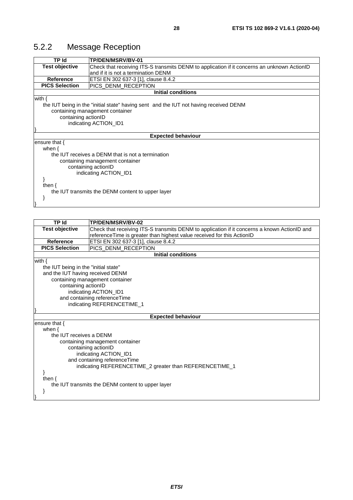### <span id="page-27-0"></span>5.2.2 Message Reception

| <b>TP Id</b>                                 | TP/DEN/MSRV/BV-01                                                                           |  |  |  |
|----------------------------------------------|---------------------------------------------------------------------------------------------|--|--|--|
| <b>Test objective</b>                        | Check that receiving ITS-S transmits DENM to application if it concerns an unknown ActionID |  |  |  |
|                                              | and if it is not a termination DENM                                                         |  |  |  |
| <b>Reference</b>                             | ETSI EN 302 637-3 [1], clause 8.4.2                                                         |  |  |  |
| <b>PICS Selection</b>                        | PICS DENM RECEPTION                                                                         |  |  |  |
|                                              | <b>Initial conditions</b>                                                                   |  |  |  |
| with $\{$                                    |                                                                                             |  |  |  |
|                                              | the IUT being in the "initial state" having sent and the IUT not having received DENM       |  |  |  |
|                                              | containing management container                                                             |  |  |  |
| containing actionID                          |                                                                                             |  |  |  |
| indicating ACTION_ID1                        |                                                                                             |  |  |  |
|                                              |                                                                                             |  |  |  |
| <b>Expected behaviour</b>                    |                                                                                             |  |  |  |
| ensure that {                                |                                                                                             |  |  |  |
| when $\{$                                    |                                                                                             |  |  |  |
|                                              | the IUT receives a DENM that is not a termination                                           |  |  |  |
|                                              | containing management container                                                             |  |  |  |
| containing actionID<br>indicating ACTION ID1 |                                                                                             |  |  |  |
|                                              |                                                                                             |  |  |  |
|                                              |                                                                                             |  |  |  |
| then $\{$                                    |                                                                                             |  |  |  |
|                                              | the IUT transmits the DENM content to upper layer                                           |  |  |  |
|                                              |                                                                                             |  |  |  |
|                                              |                                                                                             |  |  |  |

| TP Id                                | TP/DEN/MSRV/BV-02                                                                            |  |  |  |
|--------------------------------------|----------------------------------------------------------------------------------------------|--|--|--|
| <b>Test objective</b>                | Check that receiving ITS-S transmits DENM to application if it concerns a known ActionID and |  |  |  |
|                                      | referenceTime is greater than highest value received for this ActionID                       |  |  |  |
| <b>Reference</b>                     | ETSI EN 302 637-3 [1], clause 8.4.2                                                          |  |  |  |
| <b>PICS Selection</b>                | PICS_DENM_RECEPTION                                                                          |  |  |  |
|                                      | <b>Initial conditions</b>                                                                    |  |  |  |
| with $\{$                            |                                                                                              |  |  |  |
| the IUT being in the "initial state" |                                                                                              |  |  |  |
| and the IUT having received DENM     |                                                                                              |  |  |  |
|                                      | containing management container                                                              |  |  |  |
| containing actionID                  |                                                                                              |  |  |  |
| indicating ACTION_ID1                |                                                                                              |  |  |  |
| and containing referenceTime         |                                                                                              |  |  |  |
| indicating REFERENCETIME_1           |                                                                                              |  |  |  |
|                                      |                                                                                              |  |  |  |
| ensure that $\{$                     | <b>Expected behaviour</b>                                                                    |  |  |  |
| when $\{$                            |                                                                                              |  |  |  |
| the IUT receives a DENM              |                                                                                              |  |  |  |
|                                      | containing management container                                                              |  |  |  |
|                                      | containing actionID                                                                          |  |  |  |
| indicating ACTION_ID1                |                                                                                              |  |  |  |
|                                      | and containing referenceTime                                                                 |  |  |  |
|                                      | indicating REFERENCETIME_2 greater than REFERENCETIME_1                                      |  |  |  |
|                                      |                                                                                              |  |  |  |
| then $\{$                            |                                                                                              |  |  |  |
|                                      | the IUT transmits the DENM content to upper layer                                            |  |  |  |
|                                      |                                                                                              |  |  |  |
|                                      |                                                                                              |  |  |  |
|                                      |                                                                                              |  |  |  |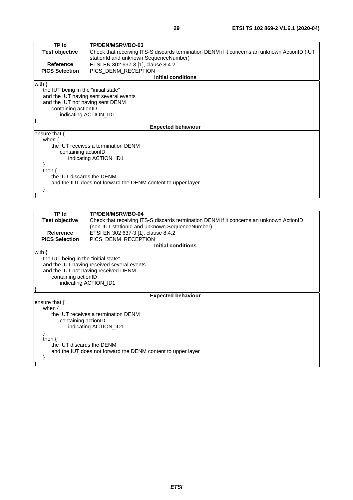| <b>TP Id</b>                         | TP/DEN/MSRV/BO-03                                                                            |  |  |  |
|--------------------------------------|----------------------------------------------------------------------------------------------|--|--|--|
| <b>Test objective</b>                | Check that receiving ITS-S discards termination DENM if it concerns an unknown ActionID (IUT |  |  |  |
|                                      | stationId and unknown SequenceNumber)                                                        |  |  |  |
| <b>Reference</b>                     | ETSI EN 302 637-3 [1], clause 8.4.2                                                          |  |  |  |
| <b>PICS Selection</b>                | PICS_DENM_RECEPTION                                                                          |  |  |  |
|                                      | <b>Initial conditions</b>                                                                    |  |  |  |
| with $\{$                            |                                                                                              |  |  |  |
| the IUT being in the "initial state" |                                                                                              |  |  |  |
|                                      | and the IUT having sent several events                                                       |  |  |  |
| and the IUT not having sent DENM     |                                                                                              |  |  |  |
| containing actionID                  |                                                                                              |  |  |  |
| indicating ACTION_ID1                |                                                                                              |  |  |  |
|                                      |                                                                                              |  |  |  |
|                                      | <b>Expected behaviour</b>                                                                    |  |  |  |
| ensure that $\{$                     |                                                                                              |  |  |  |
| when $\{$                            |                                                                                              |  |  |  |
|                                      | the IUT receives a termination DENM                                                          |  |  |  |
| containing actionID                  |                                                                                              |  |  |  |
|                                      | indicating ACTION ID1                                                                        |  |  |  |
|                                      |                                                                                              |  |  |  |
| then $\{$                            |                                                                                              |  |  |  |
| the IUT discards the DENM            |                                                                                              |  |  |  |
|                                      | and the IUT does not forward the DENM content to upper layer                                 |  |  |  |
|                                      |                                                                                              |  |  |  |
|                                      |                                                                                              |  |  |  |
|                                      |                                                                                              |  |  |  |

| TP Id                                                                                             | <b>TP/DEN/MSRV/BO-04</b>                                                                |  |  |  |
|---------------------------------------------------------------------------------------------------|-----------------------------------------------------------------------------------------|--|--|--|
| <b>Test objective</b>                                                                             | Check that receiving ITS-S discards termination DENM if it concerns an unknown ActionID |  |  |  |
|                                                                                                   | (non-IUT stationId and unknown SequenceNumber)                                          |  |  |  |
| <b>Reference</b>                                                                                  | ETSI EN 302 637-3 [1], clause 8.4.2                                                     |  |  |  |
| <b>PICS Selection</b>                                                                             | PICS DENM RECEPTION                                                                     |  |  |  |
|                                                                                                   | <b>Initial conditions</b>                                                               |  |  |  |
| with $\{$<br>the IUT being in the "initial state"<br>containing actionID<br>indicating ACTION_ID1 | and the IUT having received several events<br>and the IUT not having received DENM      |  |  |  |
|                                                                                                   | <b>Expected behaviour</b>                                                               |  |  |  |
| ensure that $\{$                                                                                  |                                                                                         |  |  |  |
| when $\{$                                                                                         |                                                                                         |  |  |  |
| containing actionID                                                                               | the IUT receives a termination DENM<br>indicating ACTION_ID1                            |  |  |  |
| then $\{$<br>the IUT discards the DENM                                                            | and the IUT does not forward the DENM content to upper layer                            |  |  |  |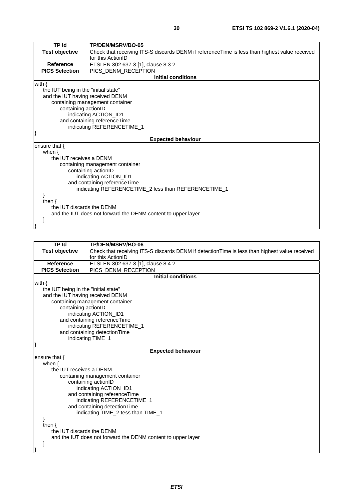| <b>TP Id</b>                         | TP/DEN/MSRV/BO-05                                                                             |  |  |  |
|--------------------------------------|-----------------------------------------------------------------------------------------------|--|--|--|
| Test objective                       | Check that receiving ITS-S discards DENM if referenceTime is less than highest value received |  |  |  |
|                                      | for this ActionID                                                                             |  |  |  |
| <b>Reference</b>                     | ETSI EN 302 637-3 [1], clause 8.3.2                                                           |  |  |  |
| <b>PICS Selection</b>                | PICS_DENM_RECEPTION                                                                           |  |  |  |
|                                      | <b>Initial conditions</b>                                                                     |  |  |  |
| with $\{$                            |                                                                                               |  |  |  |
| the IUT being in the "initial state" |                                                                                               |  |  |  |
| and the IUT having received DENM     |                                                                                               |  |  |  |
|                                      | containing management container                                                               |  |  |  |
| containing actionID                  |                                                                                               |  |  |  |
|                                      | indicating ACTION_ID1                                                                         |  |  |  |
|                                      | and containing referenceTime                                                                  |  |  |  |
|                                      | indicating REFERENCETIME_1                                                                    |  |  |  |
|                                      |                                                                                               |  |  |  |
|                                      | <b>Expected behaviour</b>                                                                     |  |  |  |
| ensure that {                        |                                                                                               |  |  |  |
| when $\{$<br>the IUT receives a DENM |                                                                                               |  |  |  |
|                                      |                                                                                               |  |  |  |
|                                      | containing management container<br>containing actionID                                        |  |  |  |
|                                      | indicating ACTION_ID1                                                                         |  |  |  |
|                                      | and containing referenceTime                                                                  |  |  |  |
|                                      | indicating REFERENCETIME_2 less than REFERENCETIME_1                                          |  |  |  |
|                                      |                                                                                               |  |  |  |
| then $\{$                            |                                                                                               |  |  |  |
| the IUT discards the DENM            |                                                                                               |  |  |  |
|                                      | and the IUT does not forward the DENM content to upper layer                                  |  |  |  |
| ł                                    |                                                                                               |  |  |  |
|                                      |                                                                                               |  |  |  |

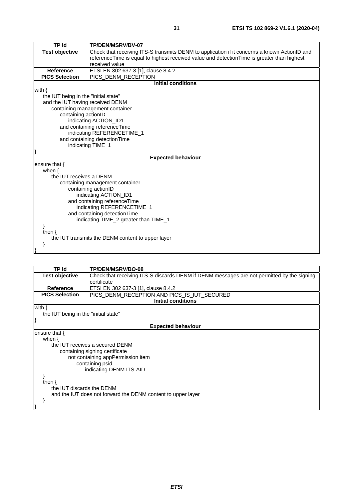| <b>TP Id</b>                         | TP/DEN/MSRV/BV-07                                                                            |  |  |  |
|--------------------------------------|----------------------------------------------------------------------------------------------|--|--|--|
| <b>Test objective</b>                | Check that receiving ITS-S transmits DENM to application if it concerns a known ActionID and |  |  |  |
|                                      | reference Time is equal to highest received value and detection Time is greater than highest |  |  |  |
|                                      | received value                                                                               |  |  |  |
| <b>Reference</b>                     | ETSI EN 302 637-3 [1], clause 8.4.2                                                          |  |  |  |
| <b>PICS Selection</b>                | PICS_DENM_RECEPTION                                                                          |  |  |  |
|                                      | <b>Initial conditions</b>                                                                    |  |  |  |
| with $\{$                            |                                                                                              |  |  |  |
| the IUT being in the "initial state" |                                                                                              |  |  |  |
| and the IUT having received DENM     |                                                                                              |  |  |  |
|                                      | containing management container                                                              |  |  |  |
| containing actionID                  |                                                                                              |  |  |  |
|                                      | indicating ACTION_ID1                                                                        |  |  |  |
|                                      | and containing referenceTime                                                                 |  |  |  |
| indicating REFERENCETIME_1           |                                                                                              |  |  |  |
| and containing detectionTime         |                                                                                              |  |  |  |
| indicating TIME_1                    |                                                                                              |  |  |  |
|                                      |                                                                                              |  |  |  |
|                                      | <b>Expected behaviour</b>                                                                    |  |  |  |
| ensure that {                        |                                                                                              |  |  |  |
| when $\{$                            |                                                                                              |  |  |  |
| the IUT receives a DENM              |                                                                                              |  |  |  |
| containing management container      |                                                                                              |  |  |  |
| containing actionID                  |                                                                                              |  |  |  |
|                                      | indicating ACTION_ID1                                                                        |  |  |  |
| and containing referenceTime         |                                                                                              |  |  |  |
| indicating REFERENCETIME_1           |                                                                                              |  |  |  |
| and containing detection Time        |                                                                                              |  |  |  |
|                                      | indicating TIME_2 greater than TIME_1                                                        |  |  |  |
|                                      |                                                                                              |  |  |  |
| then $\{$                            |                                                                                              |  |  |  |
|                                      | the IUT transmits the DENM content to upper layer                                            |  |  |  |
|                                      |                                                                                              |  |  |  |
|                                      |                                                                                              |  |  |  |

| TP Id                                | <b>TP/DEN/MSRV/BO-08</b>                                                                   |  |  |  |
|--------------------------------------|--------------------------------------------------------------------------------------------|--|--|--|
| <b>Test objective</b>                | Check that receiving ITS-S discards DENM if DENM messages are not permitted by the signing |  |  |  |
|                                      | certificate                                                                                |  |  |  |
| <b>Reference</b>                     | ETSI EN 302 637-3 [1], clause 8.4.2                                                        |  |  |  |
| <b>PICS Selection</b>                | PICS_DENM_RECEPTION AND PICS_IS_IUT_SECURED                                                |  |  |  |
|                                      | <b>Initial conditions</b>                                                                  |  |  |  |
| with $\{$                            |                                                                                            |  |  |  |
| the IUT being in the "initial state" |                                                                                            |  |  |  |
|                                      |                                                                                            |  |  |  |
| <b>Expected behaviour</b>            |                                                                                            |  |  |  |
| ensure that $\{$                     |                                                                                            |  |  |  |
| when $\{$                            |                                                                                            |  |  |  |
|                                      | the IUT receives a secured DENM                                                            |  |  |  |
| containing signing certificate       |                                                                                            |  |  |  |
| not containing appPermission item    |                                                                                            |  |  |  |
|                                      | containing psid                                                                            |  |  |  |
|                                      | indicating DENM ITS-AID                                                                    |  |  |  |
|                                      |                                                                                            |  |  |  |
| then $\{$                            |                                                                                            |  |  |  |
| the IUT discards the DENM            |                                                                                            |  |  |  |
|                                      | and the IUT does not forward the DENM content to upper layer                               |  |  |  |
|                                      |                                                                                            |  |  |  |
|                                      |                                                                                            |  |  |  |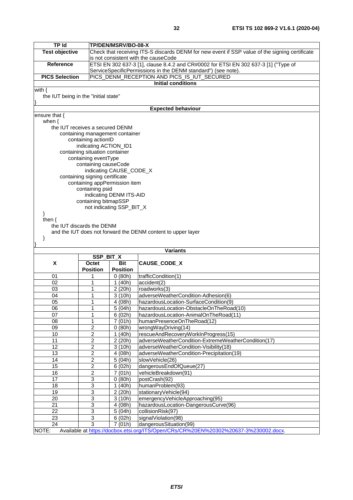| <b>TP Id</b>                                                                                  |                                                                                                         | TP/DEN/MSRV/BO-08-X                                                                                                                    |                                                                     |  |  |  |
|-----------------------------------------------------------------------------------------------|---------------------------------------------------------------------------------------------------------|----------------------------------------------------------------------------------------------------------------------------------------|---------------------------------------------------------------------|--|--|--|
| <b>Test objective</b>                                                                         |                                                                                                         | Check that receiving ITS-S discards DENM for new event if SSP value of the signing certificate<br>is not consistent with the causeCode |                                                                     |  |  |  |
|                                                                                               | ETSI EN 302 637-3 [1], clause 8.4.2 and CR#0002 for ETSI EN 302 637-3 [1] ("Type of<br><b>Reference</b> |                                                                                                                                        |                                                                     |  |  |  |
|                                                                                               |                                                                                                         |                                                                                                                                        | ServiceSpecificPermissions in the DENM standard") (see note).       |  |  |  |
| <b>PICS Selection</b>                                                                         |                                                                                                         |                                                                                                                                        | PICS_DENM_RECEPTION AND PICS_IS_IUT_SECURED                         |  |  |  |
|                                                                                               | <b>Initial conditions</b>                                                                               |                                                                                                                                        |                                                                     |  |  |  |
| with $\{$                                                                                     |                                                                                                         |                                                                                                                                        |                                                                     |  |  |  |
| the IUT being in the "initial state"                                                          |                                                                                                         |                                                                                                                                        |                                                                     |  |  |  |
|                                                                                               |                                                                                                         |                                                                                                                                        | <b>Expected behaviour</b>                                           |  |  |  |
| ensure that {                                                                                 |                                                                                                         |                                                                                                                                        |                                                                     |  |  |  |
| when $\{$                                                                                     |                                                                                                         |                                                                                                                                        |                                                                     |  |  |  |
|                                                                                               | the IUT receives a secured DENM                                                                         |                                                                                                                                        |                                                                     |  |  |  |
|                                                                                               | containing management container<br>containing actionID                                                  |                                                                                                                                        |                                                                     |  |  |  |
|                                                                                               | indicating ACTION_ID1                                                                                   |                                                                                                                                        |                                                                     |  |  |  |
|                                                                                               | containing situation container                                                                          |                                                                                                                                        |                                                                     |  |  |  |
|                                                                                               | containing eventType                                                                                    |                                                                                                                                        |                                                                     |  |  |  |
|                                                                                               | containing causeCode                                                                                    | indicating CAUSE_CODE_X                                                                                                                |                                                                     |  |  |  |
|                                                                                               | containing signing certificate                                                                          |                                                                                                                                        |                                                                     |  |  |  |
|                                                                                               | containing appPermission item                                                                           |                                                                                                                                        |                                                                     |  |  |  |
|                                                                                               | containing psid                                                                                         |                                                                                                                                        |                                                                     |  |  |  |
|                                                                                               | containing bitmapSSP                                                                                    | indicating DENM ITS-AID                                                                                                                |                                                                     |  |  |  |
|                                                                                               |                                                                                                         | not indicating SSP_BIT_X                                                                                                               |                                                                     |  |  |  |
| }                                                                                             |                                                                                                         |                                                                                                                                        |                                                                     |  |  |  |
| then $\{$                                                                                     |                                                                                                         |                                                                                                                                        |                                                                     |  |  |  |
|                                                                                               | the IUT discards the DENM                                                                               |                                                                                                                                        |                                                                     |  |  |  |
| ł                                                                                             |                                                                                                         |                                                                                                                                        | and the IUT does not forward the DENM content to upper layer        |  |  |  |
|                                                                                               |                                                                                                         |                                                                                                                                        |                                                                     |  |  |  |
|                                                                                               |                                                                                                         |                                                                                                                                        | <b>Variants</b>                                                     |  |  |  |
| <b>SSP BIT X</b>                                                                              |                                                                                                         |                                                                                                                                        |                                                                     |  |  |  |
| X                                                                                             | Octet<br><b>Position</b>                                                                                | Bit<br><b>Position</b>                                                                                                                 | CAUSE_CODE_X                                                        |  |  |  |
| 01                                                                                            | 1                                                                                                       | 0(80h)                                                                                                                                 | trafficCondition(1)                                                 |  |  |  |
| 02                                                                                            | 1                                                                                                       | 1(40h)                                                                                                                                 | accident(2)                                                         |  |  |  |
| 03                                                                                            | 1                                                                                                       | 2 (20h)                                                                                                                                | roadworks(3)                                                        |  |  |  |
| 04                                                                                            | 1                                                                                                       | 3(10h)                                                                                                                                 | adverseWeatherCondition-Adhesion(6)                                 |  |  |  |
| 05                                                                                            | 1                                                                                                       | 4 (08h)                                                                                                                                | hazardousLocation-SurfaceCondition(9)                               |  |  |  |
| 06                                                                                            | 1                                                                                                       | 5(04h)                                                                                                                                 | hazardousLocation-ObstacleOnTheRoad(10)                             |  |  |  |
| 07<br>08                                                                                      | 1<br>1                                                                                                  | 6(02h)<br>7(01h)                                                                                                                       | hazardousLocation-AnimalOnTheRoad(11)<br>humanPresenceOnTheRoad(12) |  |  |  |
| 09                                                                                            | $\overline{\mathbf{c}}$                                                                                 | 0(80h)                                                                                                                                 | wrongWayDriving(14)                                                 |  |  |  |
| 10                                                                                            | 2                                                                                                       | 1(40h)                                                                                                                                 | rescueAndRecoveryWorkInProgress(15)                                 |  |  |  |
| $\overline{11}$                                                                               | $\overline{2}$                                                                                          | 2 (20h)                                                                                                                                | adverseWeatherCondition-ExtremeWeatherCondition(17)                 |  |  |  |
| 12                                                                                            | $\overline{2}$                                                                                          | 3(10h)                                                                                                                                 | adverseWeatherCondition-Visibility(18)                              |  |  |  |
| 13                                                                                            | $\overline{2}$                                                                                          | 4 (08h)                                                                                                                                | adverseWeatherCondition-Precipitation(19)                           |  |  |  |
| 14<br>$\overline{15}$                                                                         | $\overline{c}$<br>$\overline{2}$                                                                        | $\overline{5}$ (04h)<br>6(02h)                                                                                                         | slowVehicle(26)<br>dangerousEndOfQueue(27)                          |  |  |  |
| $\overline{16}$                                                                               | $\overline{2}$                                                                                          | 7(01h)                                                                                                                                 | vehicleBreakdown(91)                                                |  |  |  |
| $\overline{17}$                                                                               | $\overline{3}$                                                                                          | 0(80h)                                                                                                                                 | postCrash(92)                                                       |  |  |  |
| 18                                                                                            | $\overline{3}$                                                                                          | 1(40h)                                                                                                                                 | humanProblem(93)                                                    |  |  |  |
| 19                                                                                            | $\ensuremath{\mathsf{3}}$                                                                               | 2 (20h)                                                                                                                                | stationaryVehicle(94)                                               |  |  |  |
| 20                                                                                            | $\ensuremath{\mathsf{3}}$                                                                               | 3(10h)                                                                                                                                 | emergencyVehicleApproaching(95)                                     |  |  |  |
| $\overline{21}$<br>$\overline{22}$                                                            | $\overline{3}$<br>3                                                                                     | 4 (08h)<br>5(04h)                                                                                                                      | hazardousLocation-DangerousCurve(96)                                |  |  |  |
| 23                                                                                            | $\ensuremath{\mathsf{3}}$                                                                               | 6(02h)                                                                                                                                 | collisionRisk(97)<br>signalViolation(98)                            |  |  |  |
| 24                                                                                            | 3                                                                                                       | 7(01h)                                                                                                                                 | dangerousSituation(99)                                              |  |  |  |
| Available at https://docbox.etsi.org/ITS/Open/CRs/CR%20EN%20302%20637-3%230002.docx.<br>NOTE: |                                                                                                         |                                                                                                                                        |                                                                     |  |  |  |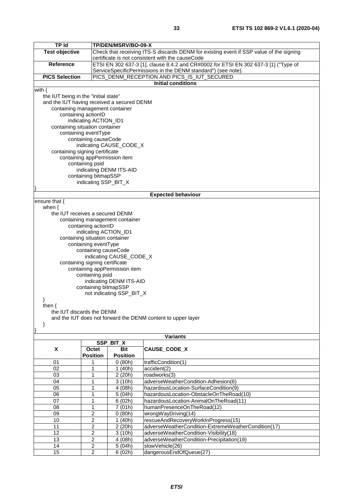| <b>TP Id</b>                                                 |                                                                                    | TP/DEN/MSRV/BO-09-X                                                                     |                                                                                     |  |  |  |  |
|--------------------------------------------------------------|------------------------------------------------------------------------------------|-----------------------------------------------------------------------------------------|-------------------------------------------------------------------------------------|--|--|--|--|
| <b>Test objective</b>                                        |                                                                                    | Check that receiving ITS-S discards DENM for existing event if SSP value of the signing |                                                                                     |  |  |  |  |
|                                                              | certificate is not consistent with the causeCode                                   |                                                                                         |                                                                                     |  |  |  |  |
| <b>Reference</b>                                             |                                                                                    |                                                                                         | ETSI EN 302 637-3 [1], clause 8.4.2 and CR#0002 for ETSI EN 302 637-3 [1] ("Type of |  |  |  |  |
|                                                              |                                                                                    |                                                                                         | ServiceSpecificPermissions in the DENM standard") (see note).                       |  |  |  |  |
| <b>PICS Selection</b>                                        |                                                                                    |                                                                                         | PICS_DENM_RECEPTION AND PICS_IS_IUT_SECURED                                         |  |  |  |  |
|                                                              |                                                                                    |                                                                                         | <b>Initial conditions</b>                                                           |  |  |  |  |
| with $\{$                                                    |                                                                                    |                                                                                         |                                                                                     |  |  |  |  |
|                                                              | the IUT being in the "initial state"<br>and the IUT having received a secured DENM |                                                                                         |                                                                                     |  |  |  |  |
| containing management container                              |                                                                                    |                                                                                         |                                                                                     |  |  |  |  |
|                                                              | containing actionID                                                                |                                                                                         |                                                                                     |  |  |  |  |
|                                                              | indicating ACTION_ID1                                                              |                                                                                         |                                                                                     |  |  |  |  |
| containing situation container                               |                                                                                    |                                                                                         |                                                                                     |  |  |  |  |
|                                                              | containing eventType                                                               |                                                                                         |                                                                                     |  |  |  |  |
|                                                              | containing causeCode                                                               |                                                                                         |                                                                                     |  |  |  |  |
|                                                              |                                                                                    | indicating CAUSE_CODE_X                                                                 |                                                                                     |  |  |  |  |
| containing signing certificate                               |                                                                                    |                                                                                         |                                                                                     |  |  |  |  |
|                                                              | containing appPermission item                                                      |                                                                                         |                                                                                     |  |  |  |  |
|                                                              | containing psid                                                                    | indicating DENM ITS-AID                                                                 |                                                                                     |  |  |  |  |
|                                                              | containing bitmapSSP                                                               |                                                                                         |                                                                                     |  |  |  |  |
|                                                              | indicating SSP_BIT_X                                                               |                                                                                         |                                                                                     |  |  |  |  |
|                                                              |                                                                                    |                                                                                         |                                                                                     |  |  |  |  |
|                                                              |                                                                                    |                                                                                         | <b>Expected behaviour</b>                                                           |  |  |  |  |
| ensure that {                                                |                                                                                    |                                                                                         |                                                                                     |  |  |  |  |
| when $\{$                                                    |                                                                                    |                                                                                         |                                                                                     |  |  |  |  |
| the IUT receives a secured DENM                              |                                                                                    |                                                                                         |                                                                                     |  |  |  |  |
|                                                              |                                                                                    | containing management container                                                         |                                                                                     |  |  |  |  |
|                                                              | containing actionID                                                                |                                                                                         |                                                                                     |  |  |  |  |
|                                                              | indicating ACTION_ID1                                                              |                                                                                         |                                                                                     |  |  |  |  |
|                                                              | containing situation container                                                     |                                                                                         |                                                                                     |  |  |  |  |
| containing eventType<br>containing causeCode                 |                                                                                    |                                                                                         |                                                                                     |  |  |  |  |
| indicating CAUSE_CODE_X                                      |                                                                                    |                                                                                         |                                                                                     |  |  |  |  |
| containing signing certificate                               |                                                                                    |                                                                                         |                                                                                     |  |  |  |  |
| containing appPermission item                                |                                                                                    |                                                                                         |                                                                                     |  |  |  |  |
|                                                              | containing psid                                                                    |                                                                                         |                                                                                     |  |  |  |  |
|                                                              | indicating DENM ITS-AID                                                            |                                                                                         |                                                                                     |  |  |  |  |
|                                                              | containing bitmapSSP                                                               |                                                                                         |                                                                                     |  |  |  |  |
|                                                              | not indicating SSP_BIT_X                                                           |                                                                                         |                                                                                     |  |  |  |  |
|                                                              |                                                                                    |                                                                                         |                                                                                     |  |  |  |  |
| then {<br>the IUT discards the DENM                          |                                                                                    |                                                                                         |                                                                                     |  |  |  |  |
| and the IUT does not forward the DENM content to upper layer |                                                                                    |                                                                                         |                                                                                     |  |  |  |  |
| ł                                                            |                                                                                    |                                                                                         |                                                                                     |  |  |  |  |
|                                                              |                                                                                    |                                                                                         |                                                                                     |  |  |  |  |
|                                                              |                                                                                    |                                                                                         | <b>Variants</b>                                                                     |  |  |  |  |
|                                                              |                                                                                    | SSP_BIT_X                                                                               |                                                                                     |  |  |  |  |
| X                                                            | Octet<br><b>Position</b>                                                           | <b>Bit</b><br><b>Position</b>                                                           | <b>CAUSE CODE X</b>                                                                 |  |  |  |  |
| 01                                                           |                                                                                    | 0(80h)                                                                                  | trafficCondition(1)                                                                 |  |  |  |  |
| 02                                                           | 1                                                                                  | 1(40h)                                                                                  | accident(2)                                                                         |  |  |  |  |
| 03                                                           | 1                                                                                  | 2(20h)                                                                                  | roadworks(3)                                                                        |  |  |  |  |
| 04                                                           | 1                                                                                  | 3(10h)                                                                                  | adverseWeatherCondition-Adhesion(6)                                                 |  |  |  |  |
| 05                                                           |                                                                                    | 4 (08h)                                                                                 | hazardousLocation-SurfaceCondition(9)                                               |  |  |  |  |
| 06                                                           |                                                                                    | 5(04h)                                                                                  | hazardousLocation-ObstacleOnTheRoad(10)                                             |  |  |  |  |
| 07                                                           |                                                                                    | 6(02h)                                                                                  | hazardousLocation-AnimalOnTheRoad(11)                                               |  |  |  |  |
| 08                                                           | 1                                                                                  | 7(01h)                                                                                  | humanPresenceOnTheRoad(12)                                                          |  |  |  |  |
| 09                                                           | 2                                                                                  | 0(80h)                                                                                  | wrongWayDriving(14)                                                                 |  |  |  |  |
| 10                                                           | 2                                                                                  | 1(40h)                                                                                  | rescueAndRecoveryWorkInProgress(15)                                                 |  |  |  |  |
| 11                                                           | 2                                                                                  | 2 (20h)                                                                                 | adverseWeatherCondition-ExtremeWeatherCondition(17)                                 |  |  |  |  |
| 12                                                           | $\overline{\mathbf{c}}$                                                            | 3(10h)                                                                                  | adverseWeatherCondition-Visibility(18)                                              |  |  |  |  |
| 13                                                           | $\overline{c}$                                                                     | 4 (08h)                                                                                 | adverseWeatherCondition-Precipitation(19)                                           |  |  |  |  |
| 14                                                           | $\overline{2}$                                                                     | $\sqrt{5}$ (04h)                                                                        | slowVehicle(26)                                                                     |  |  |  |  |
| 15                                                           | $\mathcal{L}$                                                                      | 6(02h)                                                                                  | dangerous EndOfOueue(27)                                                            |  |  |  |  |

15 | 2 | 6 (02h) | dangerousEndOfQueue(27)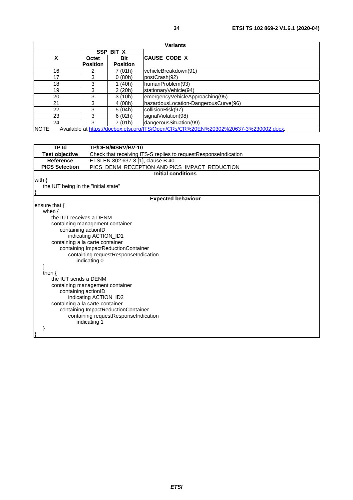| <b>Variants</b> |                 |                 |                                                                                          |
|-----------------|-----------------|-----------------|------------------------------------------------------------------------------------------|
|                 |                 | SSP BIT X       |                                                                                          |
| X               | Octet           | <b>Bit</b>      | <b>CAUSE CODE X</b>                                                                      |
|                 | <b>Position</b> | <b>Position</b> |                                                                                          |
| 16              |                 | 7 (01h)         | vehicleBreakdown(91)                                                                     |
| 17              | 3               | 0(80h)          | postCrash(92)                                                                            |
| 18              | 3               | (40h)           | humanProblem(93)                                                                         |
| 19              | 3               | 2(20h)          | stationaryVehicle(94)                                                                    |
| 20              | 3               | 3(10h)          | emergencyVehicleApproaching(95)                                                          |
| 21              | 3               | 4(08h)          | hazardousLocation-DangerousCurve(96)                                                     |
| 22              | 3               | 5(04h)          | collisionRisk(97)                                                                        |
| 23              | 3               | 6(02h)          | signalViolation(98)                                                                      |
| 24              | 3               | 7(01h)          | dangerousSituation(99)                                                                   |
| NIOTE-          |                 |                 | Available at bttps://dochox.otsi.org/ITS/Open/CDs/CD0/20EN10/202020/20627-20/220002-doox |

NOTE: Available at https://docbox.etsi.org/ITS/Open/CRs/CR

| <b>TP Id</b>                         | TP/DEN/MSRV/BV-10                                               |  |
|--------------------------------------|-----------------------------------------------------------------|--|
| <b>Test objective</b>                | Check that receiving ITS-S replies to requestResponseIndication |  |
| <b>Reference</b>                     | ETSI EN 302 637-3 [1], clause B.40                              |  |
| <b>PICS Selection</b>                | PICS_DENM_RECEPTION AND PICS_IMPACT_REDUCTION                   |  |
|                                      | <b>Initial conditions</b>                                       |  |
| with $\{$                            |                                                                 |  |
| the IUT being in the "initial state" |                                                                 |  |
|                                      |                                                                 |  |
|                                      | <b>Expected behaviour</b>                                       |  |
| ensure that {                        |                                                                 |  |
| when $\{$                            |                                                                 |  |
| the IUT receives a DENM              |                                                                 |  |
|                                      | containing management container                                 |  |
| containing actionID                  |                                                                 |  |
|                                      | indicating ACTION_ID1                                           |  |
| containing a la carte container      |                                                                 |  |
| containing ImpactReductionContainer  |                                                                 |  |
| containing requestResponseIndication |                                                                 |  |
| indicating 0                         |                                                                 |  |
|                                      |                                                                 |  |
| then $\{$                            |                                                                 |  |
| the IUT sends a DENM                 |                                                                 |  |
| containing management container      |                                                                 |  |
| containing actionID                  |                                                                 |  |
| indicating ACTION_ID2                |                                                                 |  |
| containing a la carte container      |                                                                 |  |
|                                      | containing ImpactReductionContainer                             |  |
|                                      | containing requestResponseIndication<br>indicating 1            |  |
|                                      |                                                                 |  |
|                                      |                                                                 |  |
|                                      |                                                                 |  |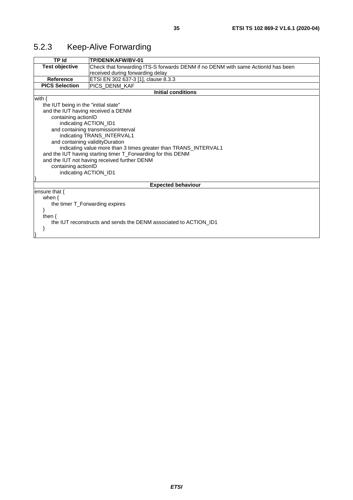### <span id="page-34-0"></span>5.2.3 Keep-Alive Forwarding

| TP Id                                | TP/DEN/KAFW/BV-01                                                                |  |  |
|--------------------------------------|----------------------------------------------------------------------------------|--|--|
| <b>Test objective</b>                | Check that forwarding ITS-S forwards DENM if no DENM with same ActionId has been |  |  |
|                                      | received during forwarding delay                                                 |  |  |
| Reference                            | ETSI EN 302 637-3 [1], clause 8.3.3                                              |  |  |
| <b>PICS Selection</b>                | <b>PICS DENM KAF</b>                                                             |  |  |
|                                      | <b>Initial conditions</b>                                                        |  |  |
| with $\{$                            |                                                                                  |  |  |
| the IUT being in the "initial state" |                                                                                  |  |  |
| and the IUT having received a DENM   |                                                                                  |  |  |
| containing actionID                  |                                                                                  |  |  |
| indicating ACTION_ID1                |                                                                                  |  |  |
|                                      | and containing transmissionInterval                                              |  |  |
|                                      | indicating TRANS_INTERVAL1                                                       |  |  |
| and containing validityDuration      |                                                                                  |  |  |
|                                      | indicating value more than 3 times greater than TRANS_INTERVAL1                  |  |  |
|                                      | and the IUT having starting timer T_Forwarding for this DENM                     |  |  |
|                                      | and the IUT not having received further DENM                                     |  |  |
| containing actionID                  |                                                                                  |  |  |
| indicating ACTION ID1                |                                                                                  |  |  |
|                                      |                                                                                  |  |  |
|                                      | <b>Expected behaviour</b>                                                        |  |  |
| ensure that $\{$                     |                                                                                  |  |  |
| when $\{$                            |                                                                                  |  |  |
| the timer T_Forwarding expires       |                                                                                  |  |  |
|                                      |                                                                                  |  |  |
| then $\{$                            |                                                                                  |  |  |
|                                      | the IUT reconstructs and sends the DENM associated to ACTION ID1                 |  |  |
|                                      |                                                                                  |  |  |
|                                      |                                                                                  |  |  |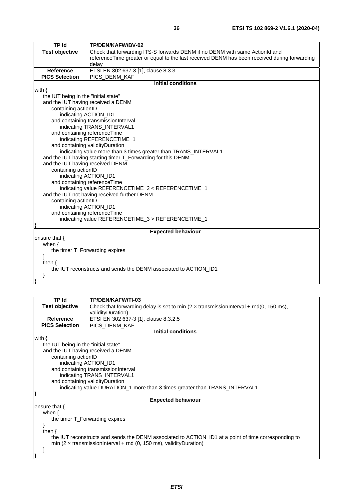| TP Id                                              | TP/DEN/KAFW/BV-02                                                                            |
|----------------------------------------------------|----------------------------------------------------------------------------------------------|
| <b>Test objective</b>                              | Check that forwarding ITS-S forwards DENM if no DENM with same ActionId and                  |
|                                                    | referenceTime greater or equal to the last received DENM has been received during forwarding |
|                                                    | delay                                                                                        |
| <b>Reference</b>                                   | ETSI EN 302 637-3 [1], clause 8.3.3                                                          |
| <b>PICS Selection</b>                              | PICS_DENM_KAF                                                                                |
|                                                    | <b>Initial conditions</b>                                                                    |
| with $\{$                                          |                                                                                              |
| the IUT being in the "initial state"               |                                                                                              |
| and the IUT having received a DENM                 |                                                                                              |
| containing actionID                                |                                                                                              |
| indicating ACTION_ID1                              |                                                                                              |
|                                                    | and containing transmissionInterval                                                          |
|                                                    | indicating TRANS_INTERVAL1                                                                   |
| and containing referenceTime                       |                                                                                              |
|                                                    | indicating REFERENCETIME_1                                                                   |
| and containing validityDuration                    |                                                                                              |
|                                                    | indicating value more than 3 times greater than TRANS_INTERVAL1                              |
|                                                    | and the IUT having starting timer T_Forwarding for this DENM                                 |
| and the IUT having received DENM                   |                                                                                              |
| containing actionID                                |                                                                                              |
| indicating ACTION_ID1                              |                                                                                              |
| and containing referenceTime                       |                                                                                              |
| indicating value REFERENCETIME_2 < REFERENCETIME_1 |                                                                                              |
|                                                    | and the IUT not having received further DENM                                                 |
| containing actionID                                |                                                                                              |
| indicating ACTION_ID1                              |                                                                                              |
| and containing referenceTime                       |                                                                                              |
|                                                    | indicating value REFERENCETIME_3 > REFERENCETIME_1                                           |
|                                                    |                                                                                              |
|                                                    | <b>Expected behaviour</b>                                                                    |
| ensure that $\{$                                   |                                                                                              |
| when $\{$                                          |                                                                                              |
| the timer T_Forwarding expires                     |                                                                                              |
|                                                    |                                                                                              |
| then $\{$                                          |                                                                                              |
|                                                    | the IUT reconstructs and sends the DENM associated to ACTION ID1                             |
| ł                                                  |                                                                                              |

| <b>TP Id</b>                         | <b>TP/DEN/KAFW/TI-03</b>                                                                             |  |  |
|--------------------------------------|------------------------------------------------------------------------------------------------------|--|--|
| <b>Test objective</b>                | Check that forwarding delay is set to min $(2 \times$ transmission Interval + rnd(0, 150 ms),        |  |  |
|                                      | validityDuration)                                                                                    |  |  |
| <b>Reference</b>                     | ETSI EN 302 637-3 [1], clause 8.3.2.5                                                                |  |  |
| <b>PICS Selection</b>                | PICS_DENM_KAF                                                                                        |  |  |
|                                      | <b>Initial conditions</b>                                                                            |  |  |
| with $\{$                            |                                                                                                      |  |  |
| the IUT being in the "initial state" |                                                                                                      |  |  |
| and the IUT having received a DENM   |                                                                                                      |  |  |
| containing actionID                  |                                                                                                      |  |  |
| indicating ACTION_ID1                |                                                                                                      |  |  |
|                                      | and containing transmissionInterval                                                                  |  |  |
|                                      | indicating TRANS_INTERVAL1                                                                           |  |  |
| and containing validity Duration     |                                                                                                      |  |  |
|                                      | indicating value DURATION_1 more than 3 times greater than TRANS_INTERVAL1                           |  |  |
|                                      |                                                                                                      |  |  |
|                                      | <b>Expected behaviour</b>                                                                            |  |  |
| ensure that $\{$                     |                                                                                                      |  |  |
| when $\{$                            |                                                                                                      |  |  |
| the timer T_Forwarding expires       |                                                                                                      |  |  |
| ł                                    |                                                                                                      |  |  |
| then $\{$                            |                                                                                                      |  |  |
|                                      | the IUT reconstructs and sends the DENM associated to ACTION_ID1 at a point of time corresponding to |  |  |
|                                      | min (2 $\times$ transmission Interval + rnd (0, 150 ms), validity Duration)                          |  |  |
| <sup>}</sup>                         |                                                                                                      |  |  |
|                                      |                                                                                                      |  |  |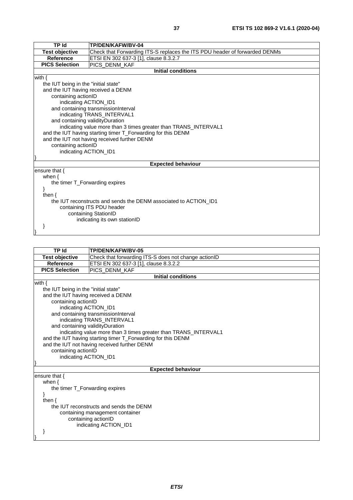| <b>TP Id</b>                                                     | TP/DEN/KAFW/BV-04                                                          |  |  |
|------------------------------------------------------------------|----------------------------------------------------------------------------|--|--|
| <b>Test objective</b>                                            | Check that Forwarding ITS-S replaces the ITS PDU header of forwarded DENMs |  |  |
| <b>Reference</b>                                                 | ETSI EN 302 637-3 [1], clause 8.3.2.7                                      |  |  |
| <b>PICS Selection</b>                                            | PICS DENM KAF                                                              |  |  |
|                                                                  | <b>Initial conditions</b>                                                  |  |  |
| with $\{$                                                        |                                                                            |  |  |
| the IUT being in the "initial state"                             |                                                                            |  |  |
|                                                                  | and the IUT having received a DENM                                         |  |  |
|                                                                  | containing actionID                                                        |  |  |
| indicating ACTION_ID1                                            |                                                                            |  |  |
|                                                                  | and containing transmissionInterval                                        |  |  |
|                                                                  | indicating TRANS_INTERVAL1                                                 |  |  |
|                                                                  | and containing validityDuration                                            |  |  |
|                                                                  | indicating value more than 3 times greater than TRANS_INTERVAL1            |  |  |
| and the IUT having starting timer T_Forwarding for this DENM     |                                                                            |  |  |
|                                                                  | and the IUT not having received further DENM                               |  |  |
| containing actionID                                              |                                                                            |  |  |
| indicating ACTION_ID1                                            |                                                                            |  |  |
|                                                                  |                                                                            |  |  |
| <b>Expected behaviour</b>                                        |                                                                            |  |  |
| ensure that {                                                    |                                                                            |  |  |
| when $\{$                                                        |                                                                            |  |  |
|                                                                  | the timer T_Forwarding expires                                             |  |  |
|                                                                  |                                                                            |  |  |
| then $\{$                                                        |                                                                            |  |  |
| the IUT reconstructs and sends the DENM associated to ACTION ID1 |                                                                            |  |  |
| containing ITS PDU header                                        |                                                                            |  |  |
|                                                                  | containing StationID                                                       |  |  |
| indicating its own stationID                                     |                                                                            |  |  |

 $\vert \quad \rangle$ 

| TP Id                                                           | TP/DEN/KAFW/BV-05                                    |  |
|-----------------------------------------------------------------|------------------------------------------------------|--|
|                                                                 |                                                      |  |
| <b>Test objective</b>                                           | Check that forwarding ITS-S does not change actionID |  |
| <b>Reference</b>                                                | ETSI EN 302 637-3 [1], clause 8.3.2.2                |  |
| <b>PICS Selection</b>                                           | PICS_DENM_KAF                                        |  |
|                                                                 | <b>Initial conditions</b>                            |  |
| with $\{$                                                       |                                                      |  |
| the IUT being in the "initial state"                            |                                                      |  |
| and the IUT having received a DENM                              |                                                      |  |
| containing actionID                                             |                                                      |  |
| indicating ACTION_ID1                                           |                                                      |  |
|                                                                 | and containing transmissionInterval                  |  |
|                                                                 | indicating TRANS_INTERVAL1                           |  |
|                                                                 | and containing validity Duration                     |  |
| indicating value more than 3 times greater than TRANS_INTERVAL1 |                                                      |  |
| and the IUT having starting timer T_Forwarding for this DENM    |                                                      |  |
| and the IUT not having received further DENM                    |                                                      |  |
| containing actionID                                             |                                                      |  |
| indicating ACTION_ID1                                           |                                                      |  |
|                                                                 |                                                      |  |
|                                                                 | <b>Expected behaviour</b>                            |  |
| ensure that {                                                   |                                                      |  |
| when $\{$                                                       |                                                      |  |
| the timer T Forwarding expires                                  |                                                      |  |
|                                                                 |                                                      |  |
| then $\{$                                                       |                                                      |  |
| the IUT reconstructs and sends the DENM                         |                                                      |  |
| containing management container                                 |                                                      |  |
| containing actionID                                             |                                                      |  |
| indicating ACTION_ID1                                           |                                                      |  |
|                                                                 |                                                      |  |
|                                                                 |                                                      |  |
|                                                                 |                                                      |  |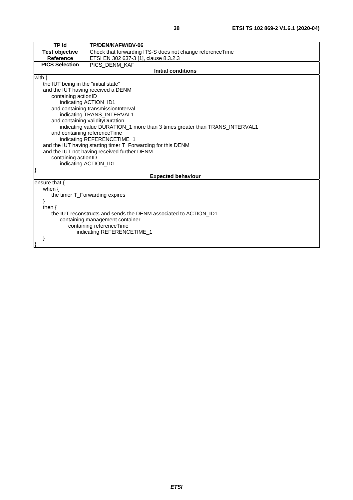| <b>TP Id</b>                                                               | TP/DEN/KAFW/BV-06                                                |  |  |
|----------------------------------------------------------------------------|------------------------------------------------------------------|--|--|
| <b>Test objective</b>                                                      | Check that forwarding ITS-S does not change reference Time       |  |  |
| <b>Reference</b>                                                           | ETSI EN 302 637-3 [1], clause 8.3.2.3                            |  |  |
| <b>PICS Selection</b>                                                      | PICS_DENM_KAF                                                    |  |  |
|                                                                            | <b>Initial conditions</b>                                        |  |  |
| with $\{$                                                                  |                                                                  |  |  |
| the IUT being in the "initial state"                                       |                                                                  |  |  |
| and the IUT having received a DENM                                         |                                                                  |  |  |
| containing actionID                                                        |                                                                  |  |  |
| indicating ACTION_ID1                                                      |                                                                  |  |  |
|                                                                            | and containing transmissionInterval                              |  |  |
|                                                                            | indicating TRANS_INTERVAL1                                       |  |  |
| and containing validityDuration                                            |                                                                  |  |  |
| indicating value DURATION_1 more than 3 times greater than TRANS_INTERVAL1 |                                                                  |  |  |
| and containing referenceTime                                               |                                                                  |  |  |
|                                                                            | indicating REFERENCETIME_1                                       |  |  |
| and the IUT having starting timer T_Forwarding for this DENM               |                                                                  |  |  |
| and the IUT not having received further DENM                               |                                                                  |  |  |
| containing actionID                                                        |                                                                  |  |  |
| indicating ACTION_ID1                                                      |                                                                  |  |  |
|                                                                            |                                                                  |  |  |
| <b>Expected behaviour</b>                                                  |                                                                  |  |  |
| ensure that $\{$                                                           |                                                                  |  |  |
| when $\{$                                                                  |                                                                  |  |  |
|                                                                            | the timer T_Forwarding expires                                   |  |  |
| then $\{$                                                                  |                                                                  |  |  |
|                                                                            | the IUT reconstructs and sends the DENM associated to ACTION_ID1 |  |  |
|                                                                            |                                                                  |  |  |
| containing management container<br>containing referenceTime                |                                                                  |  |  |
| indicating REFERENCETIME_1                                                 |                                                                  |  |  |
|                                                                            |                                                                  |  |  |
|                                                                            |                                                                  |  |  |
|                                                                            |                                                                  |  |  |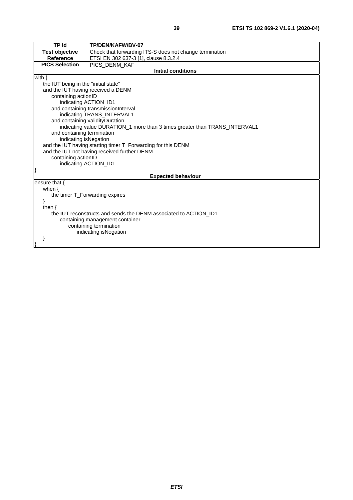| <b>TP Id</b>                                                               | TP/DEN/KAFW/BV-07                                                |  |  |
|----------------------------------------------------------------------------|------------------------------------------------------------------|--|--|
| <b>Test objective</b>                                                      | Check that forwarding ITS-S does not change termination          |  |  |
| <b>Reference</b>                                                           | ETSI EN 302 637-3 [1], clause 8.3.2.4                            |  |  |
| <b>PICS Selection</b>                                                      | PICS_DENM_KAF                                                    |  |  |
|                                                                            | <b>Initial conditions</b>                                        |  |  |
| with $\{$                                                                  |                                                                  |  |  |
| the IUT being in the "initial state"                                       |                                                                  |  |  |
| and the IUT having received a DENM                                         |                                                                  |  |  |
| containing actionID                                                        |                                                                  |  |  |
| indicating ACTION_ID1                                                      |                                                                  |  |  |
|                                                                            | and containing transmissionInterval                              |  |  |
|                                                                            | indicating TRANS_INTERVAL1                                       |  |  |
| and containing validityDuration                                            |                                                                  |  |  |
| indicating value DURATION_1 more than 3 times greater than TRANS_INTERVAL1 |                                                                  |  |  |
| and containing termination                                                 |                                                                  |  |  |
|                                                                            | indicating isNegation                                            |  |  |
| and the IUT having starting timer T_Forwarding for this DENM               |                                                                  |  |  |
| and the IUT not having received further DENM                               |                                                                  |  |  |
| containing actionID                                                        |                                                                  |  |  |
| indicating ACTION_ID1                                                      |                                                                  |  |  |
|                                                                            |                                                                  |  |  |
| <b>Expected behaviour</b>                                                  |                                                                  |  |  |
| ensure that $\{$                                                           |                                                                  |  |  |
| when $\{$                                                                  |                                                                  |  |  |
|                                                                            | the timer T_Forwarding expires                                   |  |  |
|                                                                            |                                                                  |  |  |
| then $\{$                                                                  |                                                                  |  |  |
|                                                                            | the IUT reconstructs and sends the DENM associated to ACTION ID1 |  |  |
| containing management container                                            |                                                                  |  |  |
| containing termination                                                     |                                                                  |  |  |
|                                                                            | indicating isNegation                                            |  |  |
|                                                                            |                                                                  |  |  |
|                                                                            |                                                                  |  |  |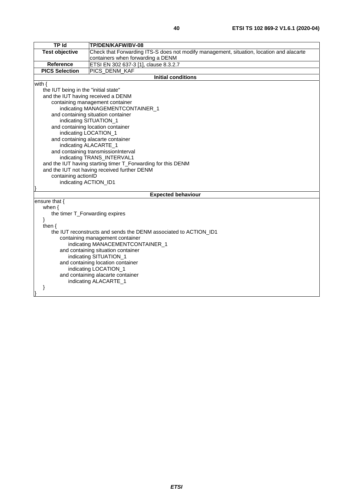| <b>TP Id</b>                         | TP/DEN/KAFW/BV-08                                                                        |  |
|--------------------------------------|------------------------------------------------------------------------------------------|--|
| <b>Test objective</b>                | Check that Forwarding ITS-S does not modify management, situation, location and alacarte |  |
|                                      | containers when forwarding a DENM                                                        |  |
| <b>Reference</b>                     | ETSI EN 302 637-3 [1], clause 8.3.2.7                                                    |  |
| <b>PICS Selection</b>                | PICS_DENM_KAF                                                                            |  |
|                                      | <b>Initial conditions</b>                                                                |  |
| with $\{$                            |                                                                                          |  |
| the IUT being in the "initial state" |                                                                                          |  |
| and the IUT having received a DENM   |                                                                                          |  |
|                                      | containing management container                                                          |  |
|                                      | indicating MANAGEMENTCONTAINER_1                                                         |  |
|                                      | and containing situation container                                                       |  |
|                                      | indicating SITUATION_1                                                                   |  |
|                                      | and containing location container                                                        |  |
| indicating LOCATION_1                |                                                                                          |  |
|                                      | and containing alacarte container                                                        |  |
| indicating ALACARTE_1                |                                                                                          |  |
|                                      | and containing transmissionInterval                                                      |  |
|                                      | indicating TRANS_INTERVAL1                                                               |  |
|                                      | and the IUT having starting timer T_Forwarding for this DENM                             |  |
|                                      | and the IUT not having received further DENM                                             |  |
| containing actionID                  |                                                                                          |  |
| indicating ACTION_ID1                |                                                                                          |  |
|                                      | <b>Expected behaviour</b>                                                                |  |
| ensure that {                        |                                                                                          |  |
| when $\{$                            |                                                                                          |  |
| the timer T_Forwarding expires       |                                                                                          |  |
| ł                                    |                                                                                          |  |
| then $\{$                            |                                                                                          |  |
|                                      | the IUT reconstructs and sends the DENM associated to ACTION ID1                         |  |
| containing management container      |                                                                                          |  |
| indicating MANACEMENTCONTAINER_1     |                                                                                          |  |
| and containing situation container   |                                                                                          |  |
| indicating SITUATION_1               |                                                                                          |  |
| and containing location container    |                                                                                          |  |
| indicating LOCATION_1                |                                                                                          |  |
|                                      | and containing alacarte container                                                        |  |
|                                      | indicating ALACARTE_1                                                                    |  |
|                                      |                                                                                          |  |
|                                      |                                                                                          |  |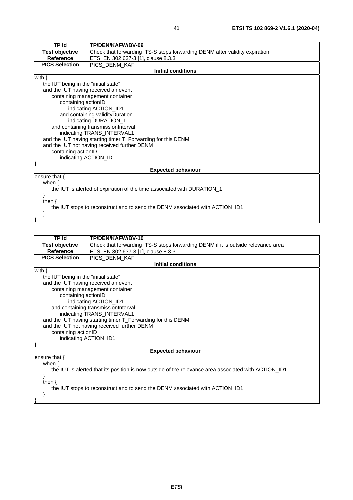| <b>TP Id</b>                                                                 | <b>TP/DEN/KAFW/BV-09</b>                                                    |  |
|------------------------------------------------------------------------------|-----------------------------------------------------------------------------|--|
| <b>Test objective</b>                                                        | Check that forwarding ITS-S stops forwarding DENM after validity expiration |  |
| <b>Reference</b>                                                             | ETSI EN 302 637-3 [1], clause 8.3.3                                         |  |
| <b>PICS Selection</b>                                                        | PICS_DENM_KAF                                                               |  |
|                                                                              | <b>Initial conditions</b>                                                   |  |
| with $\{$                                                                    |                                                                             |  |
| the IUT being in the "initial state"                                         |                                                                             |  |
| and the IUT having received an event                                         |                                                                             |  |
|                                                                              | containing management container                                             |  |
|                                                                              | containing actionID                                                         |  |
| indicating ACTION_ID1                                                        |                                                                             |  |
| and containing validity Duration                                             |                                                                             |  |
| indicating DURATION_1                                                        |                                                                             |  |
| and containing transmissionInterval                                          |                                                                             |  |
| indicating TRANS_INTERVAL1                                                   |                                                                             |  |
|                                                                              | and the IUT having starting timer T_Forwarding for this DENM                |  |
| and the IUT not having received further DENM                                 |                                                                             |  |
| containing actionID                                                          |                                                                             |  |
| indicating ACTION_ID1                                                        |                                                                             |  |
|                                                                              |                                                                             |  |
| <b>Expected behaviour</b>                                                    |                                                                             |  |
| ensure that {                                                                |                                                                             |  |
| when $\{$                                                                    |                                                                             |  |
|                                                                              | the IUT is alerted of expiration of the time associated with DURATION 1     |  |
|                                                                              |                                                                             |  |
| then $\{$                                                                    |                                                                             |  |
| the IUT stops to reconstruct and to send the DENM associated with ACTION_ID1 |                                                                             |  |
|                                                                              |                                                                             |  |

}

| TP Id                                                                                                | TP/DEN/KAFW/BV-10                                                                 |  |
|------------------------------------------------------------------------------------------------------|-----------------------------------------------------------------------------------|--|
| Test objective                                                                                       | Check that forwarding ITS-S stops forwarding DENM if it is outside relevance area |  |
| <b>Reference</b>                                                                                     | ETSI EN 302 637-3 [1], clause 8.3.3                                               |  |
| <b>PICS Selection</b>                                                                                | PICS_DENM_KAF                                                                     |  |
|                                                                                                      | <b>Initial conditions</b>                                                         |  |
| with $\{$                                                                                            |                                                                                   |  |
| the IUT being in the "initial state"                                                                 |                                                                                   |  |
| and the IUT having received an event                                                                 |                                                                                   |  |
|                                                                                                      | containing management container                                                   |  |
| containing actionID                                                                                  |                                                                                   |  |
|                                                                                                      | indicating ACTION_ID1                                                             |  |
| and containing transmissionInterval                                                                  |                                                                                   |  |
|                                                                                                      | indicating TRANS_INTERVAL1                                                        |  |
| and the IUT having starting timer T_Forwarding for this DENM                                         |                                                                                   |  |
|                                                                                                      | and the IUT not having received further DENM                                      |  |
| containing actionID                                                                                  |                                                                                   |  |
| indicating ACTION_ID1                                                                                |                                                                                   |  |
|                                                                                                      |                                                                                   |  |
| <b>Expected behaviour</b>                                                                            |                                                                                   |  |
| ensure that $\{$                                                                                     |                                                                                   |  |
| when $\{$                                                                                            |                                                                                   |  |
| the IUT is alerted that its position is now outside of the relevance area associated with ACTION_ID1 |                                                                                   |  |
|                                                                                                      |                                                                                   |  |
| then $\{$                                                                                            |                                                                                   |  |
| the IUT stops to reconstruct and to send the DENM associated with ACTION_ID1                         |                                                                                   |  |
|                                                                                                      |                                                                                   |  |
|                                                                                                      |                                                                                   |  |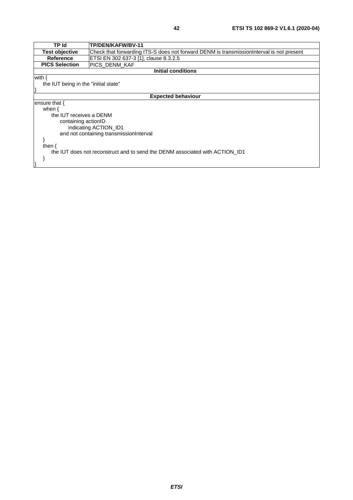| <b>TP Id</b>                                                                 | TP/DEN/KAFW/BV-11                                                                        |  |  |
|------------------------------------------------------------------------------|------------------------------------------------------------------------------------------|--|--|
| <b>Test objective</b>                                                        | Check that forwarding ITS-S does not forward DENM is transmissionInterval is not present |  |  |
| Reference                                                                    | ETSI EN 302 637-3 [1], clause 8.3.2.5                                                    |  |  |
| <b>PICS Selection</b>                                                        | PICS_DENM_KAF                                                                            |  |  |
| <b>Initial conditions</b>                                                    |                                                                                          |  |  |
| with {                                                                       |                                                                                          |  |  |
| the IUT being in the "initial state"                                         |                                                                                          |  |  |
|                                                                              |                                                                                          |  |  |
| <b>Expected behaviour</b>                                                    |                                                                                          |  |  |
| ensure that {                                                                |                                                                                          |  |  |
| when $\{$                                                                    |                                                                                          |  |  |
| the IUT receives a DENM                                                      |                                                                                          |  |  |
| containing actionID                                                          |                                                                                          |  |  |
| indicating ACTION ID1                                                        |                                                                                          |  |  |
| and not containing transmissionInterval                                      |                                                                                          |  |  |
|                                                                              |                                                                                          |  |  |
| then $\{$                                                                    |                                                                                          |  |  |
| the IUT does not reconstruct and to send the DENM associated with ACTION ID1 |                                                                                          |  |  |
|                                                                              |                                                                                          |  |  |
|                                                                              |                                                                                          |  |  |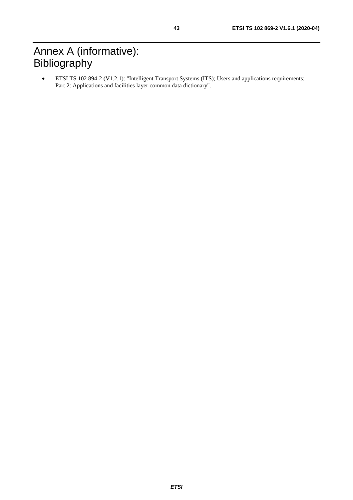# <span id="page-42-0"></span>Annex A (informative): Bibliography

• ETSI TS 102 894-2 (V1.2.1): "Intelligent Transport Systems (ITS); Users and applications requirements; Part 2: Applications and facilities layer common data dictionary".